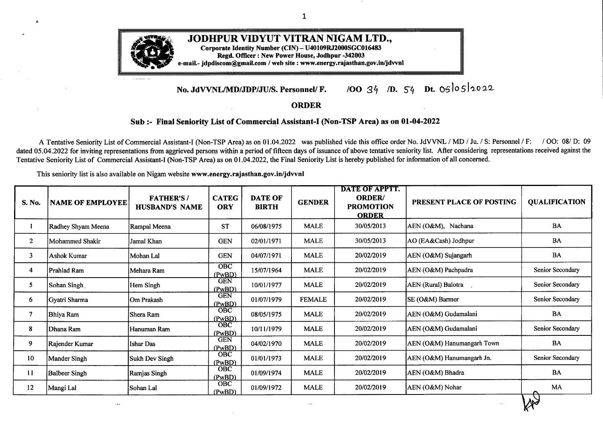

## **JODHPUR VIDYUT VITRAN NIGAM LTD.,**

1

**Corporate Identity Number (CIN) - U40109RJ2000SGC016483**

**Regd. Officer: New Power House, Jodhpur -342003**

**e-mail.- jdpdiscom@gmail.com / web site : www.energy.rajasthan.gov.in/jdvvnl**

## **No. JdVVNL/MD/JDP/JU/S. Personnel/ F. /00** *3 /D.* <sup>54</sup> **Dt.** 05l05la022

## **ORDER**

## **Sub :- Final Seniority List of Commercial Assistant-I (Non-TSP Area) as on 01-04-2022**

A Tentative Seniority List of Commercial Assistant-I (Non-TSP Area) as on 01.04.2022 was published vide this office order No. JdVVNL / MD / Ju. / S: Personnel / F: / OO: 08/ D: 09 dated 05.04.2022 for inviting representations from aggrieved persons within a period of fifteen days of issuance of above tentative seniority list. After considering representations received against the Tentative Seniority List of Commercial Assistant-I (Non-TSP Area) as on 01.04.2022, the Final Seniority List is hereby published for information ofall concerned.

This seniority list is also available on Nigam website **www.energy.rajasthan.gov.in/jdvvnl**

| S. No.         | <b>NAME OF EMPLOYEE</b> | <b>FATHER'S/</b><br><b>HUSBAND'S NAME</b> | <b>CATEG</b><br><b>ORY</b> | <b>DATE OF</b><br><b>BIRTH</b> | <b>GENDER</b>     | <b>DATE OF APPTT.</b><br><b>ORDER/</b><br><b>PROMOTION</b><br><b>ORDER</b> | PRESENT PLACE OF POSTING   | <b>QUALIFICATION</b> |
|----------------|-------------------------|-------------------------------------------|----------------------------|--------------------------------|-------------------|----------------------------------------------------------------------------|----------------------------|----------------------|
|                | Radhey Shyam Meena      | Rampal Meena                              | <b>ST</b>                  | 06/08/1975                     | <b>MALE</b>       | 30/05/2013                                                                 | AEN (O&M), Nachana         | <b>BA</b>            |
| $\overline{2}$ | Mohammed Shakir         | Jamal Khan                                | <b>GEN</b>                 | 02/01/1971                     | <b>MALE</b>       | 30/05/2013                                                                 | AO (EA&Cash) Jodhpur       | BA                   |
| 3              | Ashok Kumar             | Mohan Lal                                 | <b>GEN</b>                 | 04/07/1971                     | <b>MALE</b>       | 20/02/2019                                                                 | AEN (O&M) Sujangarh        | <b>BA</b>            |
| 4              | Prahlad Ram             | Mehara Ram                                | <b>OBC</b><br>(PwBD)       | 15/07/1964                     | <b>MALE</b>       | 20/02/2019                                                                 | AEN (O&M) Pachpadra        | Senior Secondary     |
| 5              | Sohan Singh             | Hem Singh                                 | <b>GEN</b><br>(PwBD)       | 10/01/1977                     | <b>MALE</b>       | 20/02/2019                                                                 | AEN (Rural) Balotra        | Senior Secondary     |
| 6              | Gyatri Sharma           | Om Prakash                                | <b>GEN</b><br>(PwBD)       | 01/07/1979                     | <b>FEMALE</b>     | 20/02/2019                                                                 | SE (O&M) Barmer            | Senior Secondary     |
| 7              | Bhiya Ram               | Shera Ram                                 | <b>OBC</b><br>(PwBD)       | 08/05/1975                     | <b>MALE</b>       | 20/02/2019                                                                 | AEN (O&M) Gudamalani       | BA                   |
| 8              | Dhana Ram               | Hanuman Ram                               | OBC<br>(PwBD)              | 10/11/1979                     | <b>MALE</b>       | 20/02/2019                                                                 | AEN (O&M) Gudamalani       | Senior Secondary     |
| 9              | Rajender Kumar          | Ishar Das                                 | <b>GEN</b><br>(PwBD)       | 04/02/1970                     | <b>MALE</b>       | 20/02/2019                                                                 | AEN (O&M) Hanumangarh Town | <b>BA</b>            |
| 10             | Mander Singh            | Sukh Dev Singh                            | <b>OBC</b><br>(PwBD)       | 01/01/1973                     | <b>MALE</b>       | 20/02/2019                                                                 | AEN (O&M) Hanumangarh Jn.  | Senior Secondary     |
| 11             | <b>Balbeer Singh</b>    | Ramjas Singh                              | OBC<br>(PwBD)              | 01/09/1974                     | <b>MALE</b>       | 20/02/2019                                                                 | AEN (O&M) Bhadra           | <b>BA</b>            |
| 12             | Mangi Lal               | Sohan Lal                                 | <b>OBC</b><br>(PwBD)       | 01/09/1972                     | <b>MALE</b>       | 20/02/2019                                                                 | AEN (O&M) Nohar            | MA                   |
|                | $\cdots$                |                                           |                            |                                | $\alpha + \alpha$ |                                                                            |                            |                      |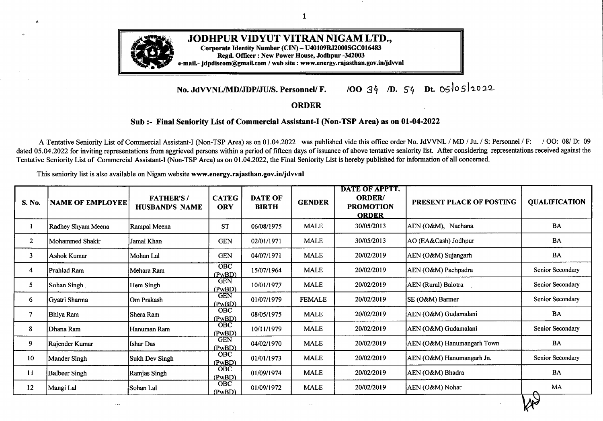| S. No. | <b>NAME OF EMPLOYEE</b> | <b>FATHER'S/</b><br><b>HUSBAND'S NAME</b> | <b>CATEG</b><br><b>ORY</b>  | <b>DATE OF</b><br><b>BIRTH</b> | <b>GENDER</b>                  | <b>DATE OF APPTT.</b><br><b>ORDER/</b><br><b>PROMOTION</b><br><b>ORDER</b> | PRESENT PLACE OF POSTING                                                  | <b>QUALIFICATION</b> |
|--------|-------------------------|-------------------------------------------|-----------------------------|--------------------------------|--------------------------------|----------------------------------------------------------------------------|---------------------------------------------------------------------------|----------------------|
| 13     | Parma Nand              | Radha Kishan                              | <b>GEN</b><br>(PwBD)        | 02/10/1974                     | <b>MALE</b>                    | 20/02/2019                                                                 | AEN (O&M) Bhadra                                                          | <b>BA</b>            |
| 14     | Suresh Kumar            | Ram Karan                                 | $\overline{OBC}$<br>(PwBD)  | 08/05/1976                     | <b>MALE</b>                    | 20/02/2019                                                                 | AEN (O&M) Nohar                                                           | `MA                  |
| 15     | Pal Singh               | Prithvi Singh                             | <b>GEN</b><br>(PwBD)        | 07/07/1968                     | <b>MALE</b>                    | 20/02/2019                                                                 | AEN (Rrual) Hanumangarh                                                   | <b>BA</b>            |
| 16     | Surender Kaur           | <b>Gurmeet Singh</b>                      | <b>OBC</b><br>(PwBD)        | 08/08/1972                     | <b>FEMALE</b>                  | 20/02/2019                                                                 | AEN (O&M) Sangaria                                                        | MA                   |
| 17     | Sunil Kumar             | Purushottam Lal                           | OBC                         | 15/07/1977                     | <b>MALE</b>                    | 20/02/2019                                                                 | <b>AEN</b> (BFL) Raisinghnagar                                            | BA, MA               |
| 18     | Rais Ahamed             | Jaffar Ali                                | $\overline{OBC}$<br>(PwBD)  | 15/08/1974                     | <b>MALE</b>                    | 20/02/2019                                                                 | SE (O&M) Churu                                                            | Secondary            |
| 19     | Om Prakash Jangid       | Keshra Ram                                | <b>OBC</b><br>(PwBD)        | 01/11/1977                     | <b>MALE</b>                    | 20/02/2019                                                                 | AEN (O&M) Taranagar                                                       | BA                   |
| 20     | Ram Chandra             | Narain Ram                                | OBC<br>(PwBD)               | 04/02/1976                     | <b>MALE</b>                    | 20/02/2019                                                                 | <b>AEN</b> (Rural) Churu                                                  | <b>BA</b>            |
| 21     | Rakesh Kumar            | Prabhu Dayal                              | <b>GEN</b><br>(PwBD)        | 18/07/1978                     | <b>MALE</b>                    | 20/02/2019                                                                 | AEN (O&M) Sadulpur                                                        | BA                   |
| 22     | <b>Ranveer Singh</b>    | Laxman Singh                              | <b>GEN</b><br>(PwBD)        | 06/12/1978                     | <b>MALE</b>                    | 20/02/2019                                                                 | <b>AEN</b> (Civil) Churu                                                  | B.Sc.                |
| 23     | Prem Kour               | Kaptan Singh                              | OBC<br>(PwBD)               | 20/05/1971                     | <b>FEMALE</b>                  | 20/02/2019                                                                 | AEN (O&M) Sadulpur                                                        | Sr. Sec.             |
| 24     | Girdhari Lal            | Sohan Lal                                 | <b>GEN</b><br>(PwBD)        | 16/09/1975                     | <b>MALE</b>                    | 20/02/2019                                                                 | AEN (O&M) Sardarsahar                                                     | <b>BA</b>            |
| 25     | Manju Swami             | H.C.Swami                                 | <b>OBC</b>                  | 31/01/1975                     | <b>FEMALE</b>                  | 20/02/2019                                                                 | AEN (O&M) Ratangarh                                                       | BA                   |
| 26     | Vimal Narain Purohit    | Ghanshyam Das                             | <b>GEN</b>                  | 05/04/1977                     | <b>MALE</b>                    | 20/02/2019                                                                 | SE (DC) Bikaner                                                           | BA                   |
| 27     | Sumitra Devi            | Gayad Ram                                 | <b>GEN</b>                  | 10/05/1967                     | <b>FEMALE</b>                  | 20/02/2019                                                                 | XEN (DD) Jodhpur                                                          | Secondary            |
| 28     | Devi Singh Daiya        | Shankar Singh                             | <b>GEN</b>                  | 01/04/1976                     | <b>MALE</b>                    | 20/02/2019                                                                 | Sr. AO (Vig.) Jodhpur                                                     | <b>B.COM</b>         |
| 29     | Gajendra Singh          | Amar Singh                                | <b>GEN</b><br>(PwBD)        | 30/01/1980                     | <b>MALE</b>                    | 20/02/2019                                                                 | AEN (O&M) Taranagar                                                       | BA                   |
| 30     | Shera Ram               | Mesha Ram                                 | OBC<br>(PwBD)               | 15/01/1966                     | <b>MALE</b>                    | 20/02/2019                                                                 | AEN (O&M) Chohatan                                                        | Secondary            |
| 31     | Mohini Devi             | Ram Lal                                   | $\overline{O}$ BC<br>(PwBD) | 01/07/1976                     | <b>FEMALE</b>                  | 20/02/2019                                                                 | AEN (O&M) Balotra                                                         | <b>BA</b>            |
| 32     | Babu Lal                | Basti Ram                                 | OBC                         | 23/05/1971                     | $\operatorname{\mathbf{MALE}}$ | 20/02/2019                                                                 | AEN (O&M) Ratangarh                                                       | BA.                  |
| 33     | Subhash Lumba           | Bhuvan Ram                                | <b>OBC</b>                  | 15/09/1979                     | <b>MALE</b>                    | 20/02/2019                                                                 | AEN (BFL) Bajju                                                           | B.SC, MA             |
| 34     | Deepak Sharma           | J.P. Sharma                               | <b>GEN</b>                  | 26/12/1979                     | <b>MALE</b>                    | 20/02/2019                                                                 | AEN (CSD-I) Pali                                                          | BA                   |
| 35     | Lekh Raj Tak            | $O.P.$ Tak                                | OBC                         | 15/12/1973                     | <b>MALE</b>                    | 20/02/2019                                                                 | The Joint Director (Corporate Affairs)-<br>cum-Company Secretary, Jodhpur | <b>B.SC</b>          |

-- ---

 $x^2$ 

-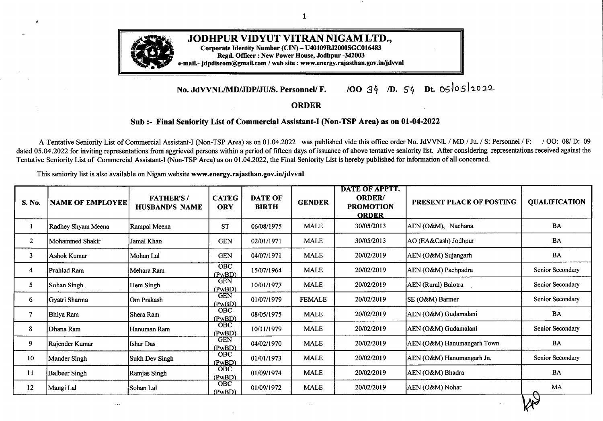| S. No. | <b>NAME OF EMPLOYEE</b> | <b>FATHER'S/</b><br><b>HUSBAND'S NAME</b> | <b>CATEG</b><br><b>ORY</b> | <b>DATE OF</b><br><b>BIRTH</b> | <b>GENDER</b> | <b>DATE OF APPTT.</b><br><b>ORDER/</b><br><b>PROMOTION</b><br><b>ORDER</b> | PRESENT PLACE OF POSTING         | <b>QUALIFICATION</b> |
|--------|-------------------------|-------------------------------------------|----------------------------|--------------------------------|---------------|----------------------------------------------------------------------------|----------------------------------|----------------------|
| 36     | Jai Prakash Rathore     | Mangi Lal Ji                              | OBC                        | 13/09/1978                     | <b>MALE</b>   | 20/02/2019                                                                 | SE (PP&M) Jodhpur                | $\mathbf{BA}$        |
| 37     | Narendra Sharma         | Chote Lal                                 | <b>GEN</b>                 | 09/12/1978                     | <b>MALE</b>   | 20/02/2019                                                                 | Secretary (Admn.) Jodhpur        | <b>B.COM</b>         |
| 38     | Rajesh Acharya          | Madan Gopal                               | <b>GEN</b>                 | 29/08/1979                     | <b>MALE</b>   | 20/02/2019                                                                 | SE (DC) Bikaner                  | BA                   |
| 39     | Mukesh Kumar Sharma     | Dev Kishan Sharma                         | <b>GEN</b>                 | 11/07/1977                     | <b>MALE</b>   | 20/02/2019                                                                 | DDP (HQ) Jodhpur                 | BA, MA, BJMC, DCLL   |
| 40     | Arun Soni               | Abay Soni                                 | $\overline{OBC}$<br>(PwBD) | 09/09/1970                     | <b>MALE</b>   | 20/02/2019                                                                 | AEN (CSD-I) Sriganganagar        | Sr. Sec.             |
| 41     | Pankaj Solanki          | Kailash Solanki                           | <b>OBC</b>                 | 12/11/1972                     | <b>MALE</b>   | 20/02/2019                                                                 | SE (MM&C) Jodhpur                | BA, B.CA             |
| 42     | Jyoti                   | Padam Singh                               | <b>GEN</b>                 | 18/01/1980                     | <b>FEMALE</b> | 20/02/2019                                                                 | AEN (O&M) Luni                   | Secondary            |
| 43     | Laxman Gulwani          | <b>Kishan Dass</b>                        | <b>GEN</b>                 | 17/10/1979                     | <b>MALE</b>   | 20/02/2019                                                                 | On Deputation in RUVNL Jaipur    | BA                   |
| 44     | Santosh Poonia          | Sumer Singh                               | OBC                        | 01/10/1970                     | <b>FEMALE</b> | 20/02/2019                                                                 | XEN (O&M) Churu                  | Secondary            |
| 45     | Samunder Singh          | <b>Balwant Singh</b>                      | <b>GEN</b>                 | 10/07/1980                     | <b>MALE</b>   | 20/02/2019                                                                 | AEN (O&M) Dechu                  | MA                   |
| 46     | Indra Devi              | <b>Bhu Deo Prasad</b>                     | <b>GEN</b>                 | 25/06/1968                     | <b>FEMALE</b> | 20/02/2019                                                                 | AO (DC) Jodhpur                  | <b>BA</b>            |
| 47     | Kamal Jeet Kaur         | Prakash Singh                             | <b>GEN</b><br>(PwBD)       | 15/12/1966                     | <b>FEMALE</b> | 20/02/2019                                                                 | AEN (O&M) Raisinghnagar          | Sr. Sec.             |
| 48     | Sumesh Kumar            | Devendra Kumar                            | <b>OBC</b>                 | 14/07/1978                     | <b>MALE</b>   | 20/02/2019                                                                 | AO (IA-Revenue) Bikaner          | MA                   |
| 49     | Rajesh Chand            | Ramesh Chand                              | <b>GEN</b>                 | 30/05/1971                     | <b>MALE</b>   | 20/02/2019                                                                 | AO (IA-Revenue) Jodhpur          | BA, LLB, DCLL        |
| 50     | Furquan Ali Quazi       | Quazi Shahid Ali                          | <b>GEN</b>                 | 22/05/1981                     | <b>MALE</b>   | 20/02/2019                                                                 | SE (DC) Jodhpur                  | M.COM                |
| 51     | Vikaram Singh           | Kishore Singh                             | <b>GEN</b>                 | 07/11/1980                     | <b>MALE</b>   | 20/02/2019                                                                 | AEN (O&M) Gogamedi<br>$\epsilon$ | $\mathbf{BA}$        |
| 52     | Dev Raj Patel           | Dhagla Ram                                | <b>OBC</b>                 | 31/07/1972                     | <b>MALE</b>   | 20/02/2019                                                                 | XEN (O&M) Bilara                 | <b>BA</b>            |
| 53     | Sharda                  | Bhanwar Lal Jat                           | <b>OBC</b>                 | 15/03/1982                     | <b>FEMALE</b> | 20/02/2019                                                                 | AEN (Rural) Churu                | Secondary            |
| 54     | Anil Vyas               | Shanti Prasad Vyas                        | <b>GEN</b>                 | 20/11/1982                     | <b>MALE</b>   | 20/02/2019                                                                 | Addl. S.P. (Vig.) Jodhpur        | B.SC                 |
| 55     | Rakhi Joshi             | Om Prakash Joshi                          | <b>GEN</b>                 | 10/08/1984                     | <b>FEMALE</b> | 20/02/2019                                                                 | XEN (Legal) Jodhpur              | MA                   |
| 56     | Amar Singh              | <b>Bhoor Singh</b>                        | <b>OBC</b>                 | 21/08/1976                     | <b>MALE</b>   | 20/02/2019                                                                 | AEN (O&M) Nana                   | MA                   |
| 57     | Nirmal Swami            | Sohan Lal                                 | OBC                        | 21/08/1978                     | <b>MALE</b>   | 20/02/2019                                                                 | SE (DC) Bikaner                  | $\mathbf{BA}$        |
| 58     | Bishan Singh Rajpurohit | Bhanwar Lal                               | <b>GEN</b>                 | 25/09/1983                     | <b>MALE</b>   | 20/02/2019                                                                 | SE (O&M) Jalore                  | $\mathbf{BA}$        |

 $\ldots$ 

 $\overline{a}$ 

 $W^2$ 

3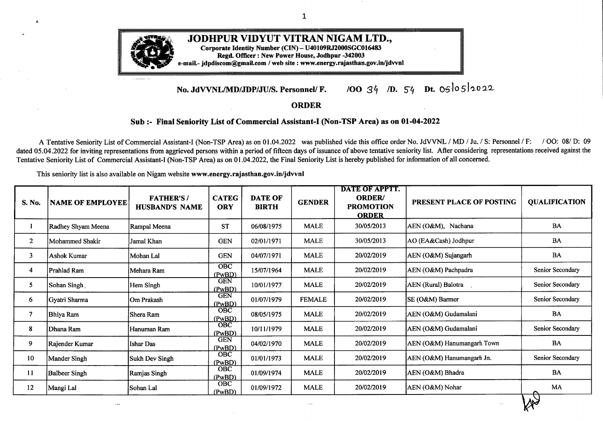| $\bullet$<br>S. No. | <b>NAME OF EMPLOYEE</b> | <b>FATHER'S/</b><br><b>HUSBAND'S NAME</b> | <b>CATEG</b><br><b>ORY</b> | <b>DATE OF</b><br><b>BIRTH</b> | <b>GENDER</b> | <b>DATE OF APPTT.</b><br><b>ORDER/</b><br><b>PROMOTION</b><br><b>ORDER</b> | PRESENT PLACE OF POSTING                                                  | <b>QUALIFICATION</b> |
|---------------------|-------------------------|-------------------------------------------|----------------------------|--------------------------------|---------------|----------------------------------------------------------------------------|---------------------------------------------------------------------------|----------------------|
| 59                  | Mahesh Kumar Gehlot     | Murli Dhar Gehlot                         | OBC                        | 15/01/1967                     | <b>MALE</b>   | 20/02/2019                                                                 | AEN (O&M) Chattargarh                                                     | <b>B.COM</b>         |
| 60                  | Phoosey Khan            | Sadik Khan                                | <b>GEN</b>                 | 01/07/1973                     | <b>MALE</b>   | 20/02/2019                                                                 | ACOS, Ratangarh                                                           | <b>BA</b>            |
| 61                  | Mangi Lal               | Manohar Lal Vishnoi                       | OBC                        | 07/04/1982                     | <b>MALE</b>   | 20/02/2019                                                                 | ACOS, Barmer                                                              | MA                   |
| 62                  | Mangi Lal               | <b>Bhakar Ram</b>                         | <b>OBC</b>                 | 04/03/1982                     | <b>MALE</b>   | 20/02/2019                                                                 | AEN (O&M) Tinwari                                                         | BA -                 |
| 63                  | Manish Kumar Vadera     | B.K.Vadera                                | <b>GEN</b>                 | 26/02/1983                     | <b>MALE</b>   | 20/02/2019                                                                 | AEN (O&M) Hanumangarh Jn.                                                 | BA, B.CA, MCA, MBA   |
| 64                  | Amit Ramawat            | Dvarka Prasad                             | <b>OBC</b>                 | 13/11/1984                     | <b>MALE</b>   | 20/02/2019                                                                 | AEN (Rural) Bikaner                                                       | BA                   |
| 65                  | Rishi Raj Purohit       | Nand Lal                                  | <b>GEN</b>                 | 02/09/1980                     | <b>MALE</b>   | 20/02/2019                                                                 | SE (MM&C) Jodhpur                                                         | BA                   |
| 66                  | Chain Singh Kachhawa    | Govind Singh Kachhawa                     | <b>OBC</b>                 | 18/02/1983                     | <b>MALE</b>   | 20/02/2019                                                                 | The Joint Director (Corporate Affairs)-<br>cum-Company Secretary, Jodhpur | <b>B.COM</b>         |
| 67                  | Devendra                | <b>Girdhar Gopal</b>                      | <b>GEN</b>                 | 04/07/1981                     | <b>MALE</b>   | 20/02/2019                                                                 | ACOS, Jodhpur                                                             | MA                   |
| 68                  | Ajay Kishore            | Bhagyati Lal                              | <b>GEN</b>                 | 08/09/1968                     | <b>MALE</b>   | 20/02/2019                                                                 | AEN (Vig.-Zonal) Jodhpur                                                  | MA                   |
| 69                  | Jitendra Singh          | Sher Singh                                | <b>OBC</b>                 | 04/07/1966                     | <b>MALE</b>   | 20/02/2019                                                                 | XEN (CD-I) Jodhpur                                                        | BA                   |
| 70                  | Nirad Vyas              | Om Prakash                                | <b>GEN</b>                 | 26/09/1968                     | <b>MALE</b>   | 20/02/2019                                                                 | AEN (CSD-B-IV) Jodhpur                                                    | <b>B.SC</b>          |
| 71                  | Joga Ram                | Ghewar Chand                              | <b>OBC</b>                 | 01/07/1978                     | <b>MALE</b>   | 20/02/2019                                                                 | AEN (O&M) Balotra                                                         | BA                   |
| 72                  | <b>Anant Lal</b>        | Poonam Chand                              | <b>GEN</b>                 | 15/09/1978                     | <b>MALE</b>   | 20/02/2019                                                                 | ACOS, Bikaner                                                             | BA                   |
| 73                  | Raj Kumar               | Durga Das                                 | <b>GEN</b>                 | 16/10/1974                     | <b>MALE</b>   | 20/02/2019                                                                 | AEN (Rural) Bikaner                                                       | <b>BA</b>            |
| 74                  | Mangi Lal               | Nathu Ram                                 | <b>GEN</b>                 | 14/06/1972                     | <b>MALE</b>   | 20/02/2019                                                                 | AEN (O&M) Srivijaynagar                                                   | MA                   |
| 75                  | Mohd. Sazid             | Abdul Jabbar                              | <b>OBC</b>                 | 03/03/1971                     | <b>MALE</b>   | 20/02/2019                                                                 | Deputation in Rajasthan State Revenue                                     | M.Com                |
| 76                  | Prakash Singh           | <b>Mool Singh</b>                         | <b>GEN</b>                 | 26/08/1979                     | <b>MALE</b>   | 20/02/2019                                                                 | AEN (CSD-D-II) Jodhupr                                                    | MA                   |
| 77                  | Vijay Shankar Bissa     | <b>Bhanwar Lal</b>                        | <b>GEN</b>                 | 14/07/1971                     | <b>MALE</b>   | 20/02/2019                                                                 | ZCE (BZ) Bikaner                                                          | BA                   |
| 78                  | Narendra Singh          | Ganesh Prakash                            | <b>OBC</b>                 | 03/05/1980                     | <b>MALE</b>   | 20/02/2019                                                                 | AEN (O&M) Jaisalmer                                                       | BA                   |
| 79                  | Shyam Singh             | Ajab Singh Yadav                          | <b>OBC</b>                 | 01/02/1980                     | <b>MALE</b>   | 20/02/2019                                                                 | SE (O&M) Sriganganagar                                                    | MA                   |
| 80                  | Pintu Bhati             | Ranjeet Singh Bhati                       | <b>OBC</b>                 | 05/07/1983                     | <b>MALE</b>   | 20/02/2019                                                                 | SE (O&M) Churu                                                            | BA                   |
| 81                  | Koshal Singh Bhadu      | Ram Prakash                               | <b>OBC</b>                 | 13/03/1983                     | <b>MALE</b>   | 20/02/2019                                                                 | AEN (O&M) Padampur                                                        | MA                   |

 $M_{\nu}$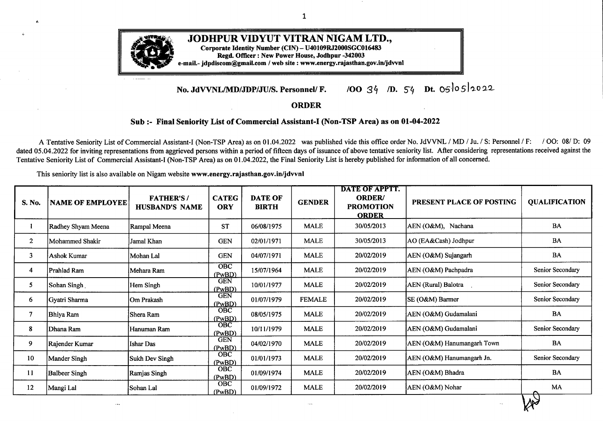| S. No. | <b>NAME OF EMPLOYEE</b> | <b>FATHER'S/</b><br><b>HUSBAND'S NAME</b> | <b>CATEG</b><br><b>ORY</b> | <b>DATE OF</b><br><b>BIRTH</b> | <b>GENDER</b> | <b>DATE OF APPTT.</b><br><b>ORDER/</b><br><b>PROMOTION</b><br><b>ORDER</b> | PRESENT PLACE OF POSTING   | <b>QUALIFICATION</b> |
|--------|-------------------------|-------------------------------------------|----------------------------|--------------------------------|---------------|----------------------------------------------------------------------------|----------------------------|----------------------|
| 82     | Kuldeep Kumar           | Shyam Sunder                              | <b>OBC</b>                 | 06/01/1979                     | <b>MALE</b>   | 20/02/2019                                                                 | AEN (Civl) Bikaner         | Sr. Sec.             |
| 83     | Lala Ram                | Dama Ram                                  | <b>OBC</b>                 | 15/05/1981                     | <b>MALE</b>   | 20/02/2019                                                                 | AEN (O&M) Sindhari         | BA                   |
| 84     | Mishri Lal Patel        | Bhanwar Lal                               | OBC                        | 10/02/1982                     | <b>MALE</b>   | 20/02/2019                                                                 | AEN (O&M) Ummedabad        | <b>BA</b>            |
| 85     | Akaram Mohd.            | Sadeeqe Mohd.                             | <b>GEN</b>                 | 14/06/1981                     | <b>MALE</b>   | 20/02/2019                                                                 | AEN (O&M) Falna            | BA                   |
| 86     | <b>Bhagirath Ram</b>    | Chota Ram                                 | OBC                        | 01/01/1981                     | <b>MALE</b>   | 20/02/2019                                                                 | AEN (O&M) Nandari          | BA                   |
| 87     | Sawai Singh             | Amar Singh                                | <b>GEN</b>                 | 31/08/1975                     | <b>MALE</b>   | 20/02/2019                                                                 | AEN (CSD-B-V) Jodhpur      | BA                   |
| 88     | Prabhu Singh            | Badri Singh                               | <b>GEN</b>                 | 20/08/1965                     | <b>MALE</b>   | 20/02/2019                                                                 | ACOS Ratangarh             | BA                   |
| 89     | Gajendra Singh          | Khushal Singh                             | <b>GEN</b>                 | 20/07/1985                     | <b>MALE</b>   | 20/02/2019                                                                 | AEN (O&M) Suratgarh        | <b>MBA</b>           |
| 90     | Sanju Jain              | N. K. Jain                                | <b>GEN</b>                 | 31/10/1965                     | <b>FEMALE</b> | 20/02/2019                                                                 | SE (RDPPC) Jaipur          | BA                   |
| 91     | Vinod Thanvi            | Murli Manohar Thanvi                      | <b>GEN</b>                 | 08/01/1982                     | <b>MALE</b>   | 20/02/2019                                                                 | AEN (City) Phalodi         | B. Pharm.            |
| 92     | Padma Ram Dewasi        | Chela Ram                                 | OBC                        | 14/12/1984                     | <b>MALE</b>   | 20/02/2019                                                                 | AEN (O&M) Sumerpur         | BA                   |
| 93     | <b>Anand Deora</b>      | Girdhari Lal                              | OBC                        | 07/03/1979                     | <b>MALE</b>   | 20/02/2019                                                                 | AEN (O&M) Sirohi           | <b>BA</b>            |
| 94     | Virendra Singh          | Jagdish                                   | OBC                        | 03/04/1980                     | <b>MALE</b>   | 20/02/2019                                                                 | AEN (O&M) Borunda          | BA                   |
| 95     | Puran Singh             | Kan Singh                                 | <b>GEN</b>                 | 02/12/1979                     | <b>MALE</b>   | 20/02/2019                                                                 | ACOS, Jalore               | MA                   |
| 96     | Dunger Giri             | Chagan                                    | OBC                        | 06/12/1982                     | <b>MALE</b>   | 20/02/2019                                                                 | AEN (O&M) Pindwara         | <b>BA</b>            |
| 97     | Manish Gurjar           | <b>Baldev Ram</b>                         | <b>OBC</b>                 | 28/08/1982                     | <b>MALE</b>   | 20/02/2019                                                                 | AEN (CSD-D-III) Jodhpur    | BA                   |
| 98     | Neelam                  | Ashok Kumar                               | <b>GEN</b>                 | 31/03/1965                     | <b>FEMALE</b> | 20/02/2019                                                                 | SE (RA&C) Jodhpur          | Secondary            |
| 99     | Giriraj Acharya         | Mohan lal Acharya                         | <b>GEN</b>                 | 30/12/1980                     | <b>MALE</b>   | 20/02/2019                                                                 | AEN (Vig.) Bikaner         | MA                   |
| 100    | <b>Bhanu Prakash</b>    | <b>Bhagwan Dutt</b>                       | <b>GEN</b>                 | 09/11/1985                     | <b>MALE</b>   | 20/02/2019                                                                 | XEN (DD-I) Bikaner         | <b>B.SC</b>          |
| 101    | Vishnu Sankhla          | <b>Chhatar Singh</b>                      | OBC                        | 04/01/1986                     | <b>MALE</b>   | 20/02/2019                                                                 | AO (IA-Expenditure)Jodhpur | <b>MBA</b>           |
| 102    | Satya Prakash           | Rameshwar Joshi                           | <b>GEN</b>                 | 05/08/1973                     | <b>MALE</b>   | 20/02/2019                                                                 | AEN (Training) Jodhpur     | M.COM                |
| 103    | Sharvan Ram             | Mangi Lal Choudhary                       | <b>OBC</b>                 | 15/06/1982                     | <b>MALE</b>   | 20/02/2019                                                                 | AEN (CSD-A-III) Jodhpur    | BA                   |
| 104    | Rajesh Sankhla          | Sona Ram                                  | <b>OBC</b>                 | 01/07/1983                     | <b>MALE</b>   | 20/02/2019                                                                 | AEN (O&M) Sojat City       | MA                   |
|        |                         |                                           |                            |                                |               |                                                                            |                            | $\mathbb{W}$         |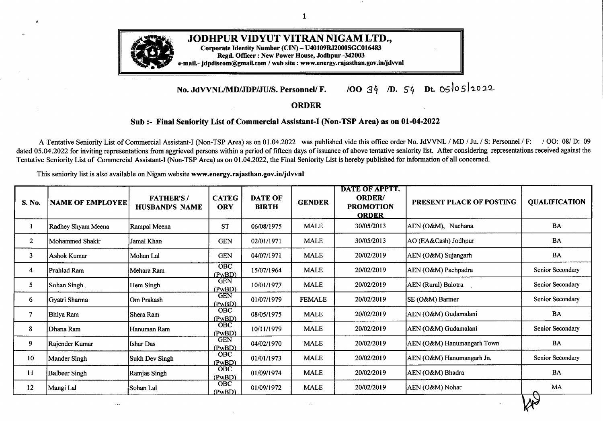| S. No. | <b>NAME OF EMPLOYEE</b> | <b>FATHER'S/</b><br><b>HUSBAND'S NAME</b> | <b>CATEG</b><br><b>ORY</b>  | <b>DATE OF</b><br><b>BIRTH</b> | <b>GENDER</b> | DATE OF APPTT.<br><b>ORDER/</b><br><b>PROMOTION</b><br><b>ORDER</b> | PRESENT PLACE OF POSTING        | <b>QUALIFICATION</b>             |
|--------|-------------------------|-------------------------------------------|-----------------------------|--------------------------------|---------------|---------------------------------------------------------------------|---------------------------------|----------------------------------|
| 105    | Lalit Kumar Ojha        | Murlidhar Ojha                            | <b>GEN</b>                  | 17/03/1971                     | <b>MALE</b>   | 20/02/2019                                                          | XEN (DD-I) Bikaner              | <b>BA</b>                        |
| 106    | Rajesh Dutt Joshi       | Amar Dutt Joshi                           | <b>GEN</b>                  | 19/04/1978                     | <b>MALE</b>   | 20/02/2019                                                          | Dy. Secretary (Pension) Jodhpur | <b>BA</b>                        |
| 107    | Ashwani Kumar           | Mohan Lal Gehlot                          | <b>GEN</b>                  | 07/08/1975                     | <b>MALE</b>   | 20/02/2019                                                          | XEN (Civil) Bikaner             | B. Sc.                           |
| $-108$ | Farzana                 | Irfan Ali                                 | <b>GEN</b>                  | 10/08/1970                     | <b>FEMALE</b> | 20/02/2019                                                          | XEN (CD-I) Jodhpur              | Sr. Sec.                         |
| 109    | Babu Lal                | <b>Rawat Singh</b>                        | <b>GEN</b>                  | 01/07/1965                     | <b>MALE</b>   | 20/02/2019                                                          | AEN (O&M) Gajsinghpur           | Secondary                        |
| 110    | <b>Bhem Singh</b>       | Mulayam Singh                             | <b>GEN</b>                  | 08/08/1966                     | <b>MALE</b>   | 20/02/2019                                                          | AEN (Rural) Churu               | Secondary                        |
| 111    | Dhal Singh              | <b>Shankar Singh</b>                      | <b>GEN</b>                  | 01/04/1967                     | <b>MALE</b>   | 20/02/2019                                                          | AEN (O&M) Rani                  | BA                               |
| 112    | Madan Lal Tak           | Sagar Mal Tak                             | <b>OBC</b>                  | 06/10/1967                     | <b>MALE</b>   | 20/02/2019                                                          | AO(IA Revenue), Bikaner         | Secondary                        |
| 113    | Ram Singh Rajpurohit    | Champa Lal                                | <b>GEN</b>                  | 05/07/1967                     | <b>MALE</b>   | 20/02/2019                                                          | AEN (O&M) Rani                  | Secondary                        |
| 114    | Rameshwari Devi         | Panna lal                                 | <b>GEN</b>                  | 05/05/1966                     | <b>FEMALE</b> | 20/02/2019                                                          | XEN (Vig.) Bikaner              | Sr. Sec.                         |
| 115    | Devi Singh              | <b>Ugam Singh</b>                         | <b>GEN</b>                  | 22/04/1962                     | <b>MALE</b>   | 20/02/2019                                                          | AEN (CSD-C-I) Jodhpur           | Secondary                        |
| 116    | Rajveer Singh           | Narpat Singh                              | $\overline{O}$ BC<br>(PwBD) | 16/03/1971                     | <b>MALE</b>   | 20/02/2019                                                          | AEN (CSD-C-III) Jodhpur         | Sr. Sec.                         |
| 117    | Pradeep Kumar           | Kirpa Ram                                 | <b>GEN</b>                  | 07/01/1970                     | <b>MALE</b>   | 20/02/2019                                                          | PO (O&M) Sriganganagar          | Sr. Sec.                         |
| 118    | Bhanwar Lal             | Vishwa Nath                               | <b>GEN</b>                  | 26/03/1967                     | <b>MALE</b>   | 20/02/2019                                                          | AO (DC) Bikaner                 | Secondary                        |
| 119    | Hemlata Vyas            | Madan Gopal                               | <b>GEN</b>                  | 21/12/1964                     | <b>FEMALE</b> | 20/02/2019                                                          | AEN (CSD-A-II) Jodhpur          | Secondary                        |
| 120    | Poonam Yadav            | Rameshwar Singh                           | $\mbox{GEN}$                | 27/10/1986                     | <b>FEMALE</b> | 20/02/2019                                                          | Dy. Secretary (Pension) Jodhpur | BA                               |
| 121    | Kavita Yadav            | Nitesh Yadav                              | OBC                         | 26/11/1986                     | <b>FEMALE</b> | 20/02/2019                                                          | AEN (O&M) Bar                   | Sr. Sec.                         |
| 122    | Priya Gakhar            | Suresh Kumar                              | <b>GEN</b>                  | 29/03/1981                     | <b>FEMALE</b> | 20/02/2019                                                          | AO (O&M) Sriganganagar          | Sr. Sec.                         |
| 123    | Praveen Kumar Gehlot    | Mohan Lal Gehlot                          | <b>OBC</b>                  | 08/08/1978                     | <b>MALE</b>   | 20/02/2019                                                          | DDP (HQ) Jodhpur                | BA, MBA (HR), PGDLL,<br>PGDBM-HR |
| 124    | Ajay Kumar              | <b>Kailash Chand Dubey</b>                | <b>GEN</b>                  | 20/07/1984                     | <b>MALE</b>   | 20/02/2019                                                          | AEN (O&M) Chappar               | BA                               |
| 125    | Kedar Modi              | Kishan Lal Modi                           | <b>GEN</b>                  | 10/01/1971                     | <b>MALE</b>   | 20/02/2019                                                          | ZCE (BZ) Bikaner                | Graduate                         |
| 126    | Ashwani Kumar Dadhich   | Vishnu Ratan                              | <b>GEN</b><br>(PwBD)        | 13/02/1985                     | <b>MALE</b>   | 20/02/2019                                                          | PO (DC) Bikaner                 | <b>B.COM</b>                     |
| 127    | Manish Sharma           | Shyam Sunder                              | <b>GEN</b>                  | 12/10/1981                     | <b>MALE</b>   | 20/02/2019                                                          | AEN(O&M) Lalgarh Jattan         | BA                               |
|        |                         |                                           |                             |                                |               |                                                                     |                                 | $\mathbb{X}$                     |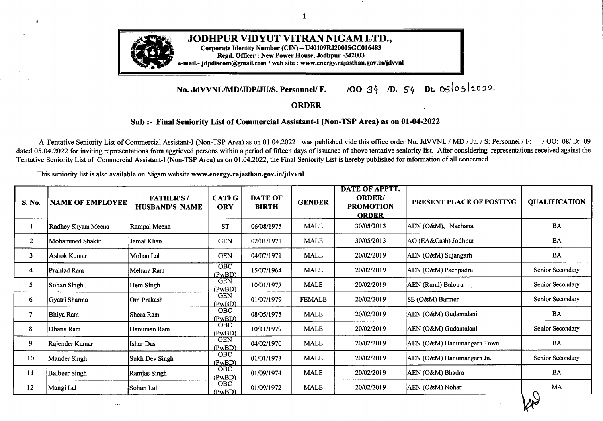$\label{eq:2} \mathcal{L} = \mathcal{L} \left( \mathcal{L} \right) \mathcal{L} \left( \mathcal{L} \right) \mathcal{L} \left( \mathcal{L} \right)$ 

**Contract** 

| $\bullet$<br>S. No. | <b>NAME OF EMPLOYEE</b> | <b>FATHER'S/</b><br><b>HUSBAND'S NAME</b> | <b>CATEG</b><br><b>ORY</b> | <b>DATE OF</b><br><b>BIRTH</b> | <b>GENDER</b> | <b>DATE OF APPTT.</b><br><b>ORDER/</b><br><b>PROMOTION</b><br><b>ORDER</b> | PRESENT PLACE OF POSTING | <b>QUALIFICATION</b> |
|---------------------|-------------------------|-------------------------------------------|----------------------------|--------------------------------|---------------|----------------------------------------------------------------------------|--------------------------|----------------------|
| 128                 | Praveen Gehlot          | Prem Singh Gehlot                         | <b>OBC</b>                 | 20/06/1979                     | <b>MALE</b>   | 20/02/2019                                                                 | AEN (CSD-B-III) Jodhpur  | M. Com.              |
| 129                 | Mukesh Kataria          | Ramesh Kataria                            | <b>OBC</b>                 | 26/10/1983                     | <b>MALE</b>   | 20/02/2019                                                                 | XEN (Vig.-CC) Jodhpur    | Graduate             |
| 130                 | Bhupendra Singh         | Mohabbat Singh                            | <b>OBC</b>                 | 29/01/1979                     | <b>MALE</b>   | 20/02/2019                                                                 | AEN (O&M) Falna          | MA, PGDCA            |
| 131                 | Sumit Panchariya        | Dhanraj Pancharia                         | <b>GEN</b>                 | 24/09/1989                     | <b>MALE</b>   | 20/02/2019                                                                 | AEN (Vig.-Rural) Bikaner | B. Com.              |
| 132                 | Jitendra Mohan Makkad   | H.C. Makkad                               | <b>GEN</b>                 | 04/06/1968                     | <b>MALE</b>   | 20/02/2019                                                                 | AO (DC) Bikaner          | <b>B.COM</b>         |
| 133                 | Krishan Kumar Acharya   | Madan Mohan                               | <b>GEN</b>                 | 06/07/1966                     | <b>MALE</b>   | 20/02/2019                                                                 | ZCE (BZ) Bikaner         | <b>BA</b>            |
| 134                 | Ajay Singh              | Gulab Singh                               | <b>GEN</b>                 | 14/08/1984                     | <b>MALE</b>   | 20/02/2019                                                                 | SE (O&M) Hanumangarh     | <b>BA</b>            |
| 135                 | Ugam Singh              | Peer Singh                                | <b>GEN</b>                 | 24/08/1986                     | <b>MALE</b>   | 20/02/2019                                                                 | SE (O&M) Jalore          | BA                   |
| 136                 | Raju Kanwar             | Dalip Singh                               | <b>GEN</b>                 | 09/02/1983                     | <b>FEMALE</b> | 20/02/2019                                                                 | AO (O&M) Churu           | Secondary            |
| 137                 | Ravi Kant Upadhayay     | Umesh Chandra                             | <b>GEN</b>                 | 30/05/1982                     | <b>MALE</b>   | 20/02/2019                                                                 | AEN (CSD-C-IV) Jodhpur   | BA                   |
| 138                 | Shera Ram               | Raju Ram                                  | OBC                        | 08/06/1985                     | <b>MALE</b>   | 20/02/2019                                                                 | PO (O&M) Barmer          | BA, PGDLL            |
| 139                 | Vinod Kumar             | Bhagwati Singh                            | <b>GEN</b>                 | 02/10/1976                     | <b>MALE</b>   | 20/02/2019                                                                 | AEN (O&M) Gajsinghpur    | <b>BA</b>            |
| 140                 | Dharam Veer             | Pradeep Singh                             | <b>GEN</b>                 | 12/10/1987                     | <b>MALE</b>   | 20/02/2019                                                                 | XEN (O&M) Sirohi         | <b>BA</b>            |
| 141                 | Ashok Puri Goswami      | Indra Puri                                | OBC                        | 30/01/1984                     | <b>MALE</b>   | 20/02/2019                                                                 | AEN (O&M) Balesar        | MA                   |
| 142                 | Suresh Vaishnav         | Om Prakash Vaishnav                       | OBC                        | 06/10/1986                     | <b>MALE</b>   | 20/02/2019                                                                 | AEN (O&M) Pipar City     | MA                   |
| 143                 | Devendra Kumar          | Hansa Ram                                 | OBC                        | 08/11/1981                     | <b>MALE</b>   | 20/02/2019                                                                 | ACOS, Sirohi             | BA                   |
| 144                 | Prem Narayan Ranga      | Harchand Ranga                            | <b>GEN</b>                 | 17/03/1980                     | <b>MALE</b>   | 20/02/2019                                                                 | AO (DC) Bikaner          | B.Com, LLB           |
| 145                 | Meenaxi Rathore         | Nain Singh                                | <b>OBC</b>                 | 17/11/1989                     | <b>FEMALE</b> | 20/02/2019                                                                 | SE (MM&C) Jodhpur        | B.Com.               |
| 146                 | Sahnaj Bano             | Khusi Mohd.                               | <b>OBC</b>                 | 12/04/1984                     | <b>FEMALE</b> | 20/02/2019                                                                 | XEN (O&M) Churu          | Sr. Sec.             |
| 147                 | Iqbal Khan              | Bhikhu Khan                               | <b>OBC</b>                 | 25/07/1987                     | <b>MALE</b>   | 20/02/2019                                                                 | AEN (O&M) Kalandari      | <b>BA</b>            |
| 148                 | Komal Arora             | Sandeep Kumar                             | <b>GEN</b>                 | 01/01/1979                     | <b>FEMALE</b> | 20/02/2019                                                                 | AEN (C-II) Sriganganagar | BA, MA               |
| 149                 | Shree Ram               | Khamu Ram                                 | <b>OBC</b>                 | 06/07/1981                     | <b>MALE</b>   | 20/02/2019                                                                 | AEN (O&M) Lohawat        | MA                   |
| 150                 | <b>Bhanwar Singh</b>    | Girwar Singh                              | OBC                        | 07/06/1978                     | <b>MALE</b>   | 20/02/2019                                                                 | AEN (CSD-A-III) Jodhpur  | BA                   |

 $W<sup>2</sup>$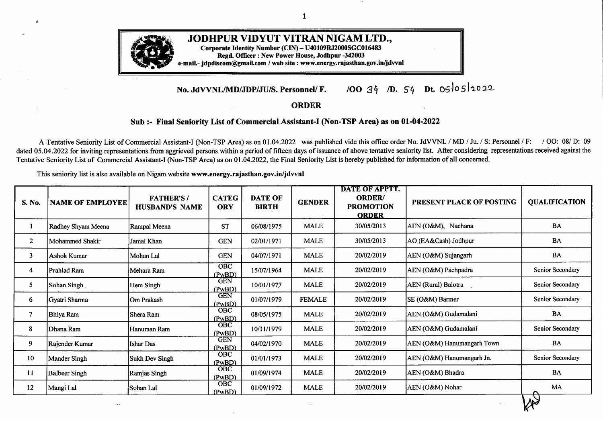| S. No. | <b>NAME OF EMPLOYEE</b> | <b>FATHER'S/</b><br><b>HUSBAND'S NAME</b> | <b>CATEG</b><br><b>ORY</b> | <b>DATE OF</b><br><b>BIRTH</b> | <b>GENDER</b>     | <b>DATE OF APPTT.</b><br><b>ORDER/</b><br><b>PROMOTION</b><br><b>ORDER</b> | PRESENT PLACE OF POSTING      | <b>QUALIFICATION</b> |
|--------|-------------------------|-------------------------------------------|----------------------------|--------------------------------|-------------------|----------------------------------------------------------------------------|-------------------------------|----------------------|
| 151    | Harish Choudhary        | Narayan Ram                               | OBC                        | 16/10/1987                     | <b>MALE</b>       | 20/02/2019                                                                 | XEN (DD-II) Bikaner           | <b>BA</b>            |
| 152    | Babu Khan               | Allah Deen                                | <b>GEN</b>                 | 28/08/1983                     | <b>MALE</b>       | 20/02/2019                                                                 | AEN (CSD-III), Pali           | Graduate             |
| 153    | Poonam                  | Nand Kishore                              | <b>GEN</b>                 | 10/01/1986                     | <b>FEMALE</b>     | 20/02/2019                                                                 | AEN (Civil) Sriganganagar     | Sr. Sec.             |
| 154    | Vijay Kumar Verma       | Shyam Lal                                 | <b>OBC</b>                 | 14/07/1979                     | <b>MALE</b>       | 20/02/2019                                                                 | AEN (O&M) Srikaranpur         | BA                   |
| 155    | Shiv Bhagwan            | Ram Kumar                                 | <b>GEN</b>                 | 25/07/1977                     | <b>MALE</b>       | 20/02/2019                                                                 | AEN (O&M) Bhadara             | <b>BA</b>            |
| 156    | Ritesh Chandra Dave     | Kailash Chandra                           | <b>GEN</b>                 | 25/01/1977                     | <b>MALE</b>       | 20/02/2019                                                                 | CE (MM) Jodhpur               | <b>B.COM</b>         |
| 157    | Mohd. Akaram            | Asgar Ali                                 | <b>OBC</b>                 | 15/07/1973                     | <b>MALE</b>       | 20/02/2019                                                                 | XEN (DD-I) Bikaner            | B.Sc.                |
| 158    | Renu                    | Chatur bhuj                               | OBC                        | 04/08/1990                     | <b>FEMALE</b>     | 20/02/2019                                                                 | AEN (M&P-II) Bikaner          | Sr. Sec.             |
| 159    | Mohd. Aarif Khan        | Usmaan Gani                               | OBC                        | 07/08/1986                     | <b>MALE</b>       | 20/02/2019                                                                 | SE (M&P-ZPC) Bikaner          | B. Com.              |
| 160    | Suvita Jat              | Ganga Bishan                              | <b>OBC</b>                 | 14/12/1987                     | <b>FEMALE</b>     | 20/02/2019                                                                 | AEN (O&M) Salasar             | Sr. Sec.             |
| 161    | Shelja Rathore          | Gopal Singh                               | <b>GEN</b>                 | 07/05/1992                     | <b>FEMALE</b>     | 20/02/2019                                                                 | On Deputation in RUVNL Jaipur | Sr. Sec.             |
| 162    | Narendra Kumar          | Kaina Ram                                 | OBC                        | 04/01/1988                     | <b>MALE</b>       | 20/02/2019                                                                 | AEN (O&M) Kharchi             | <b>BA</b>            |
| 163    | Vaibhav Gour            | Manohar Lal                               | <b>GEN</b>                 | 30/06/1989                     | $\textsf{MALE}{}$ | 20/02/2019                                                                 | Director (F.) Jodhpur         | <b>B.</b> Sc.        |
| 164    | Rajendra Singh          | Kishan Singh                              | <b>GEN</b>                 | 07/01/1987                     | <b>MALE</b>       | 20/02/2019                                                                 | <b>AEN</b> (Rural) Bikaner    | B.Sc.                |
| 165    | Jitendra Kumar          | Roop Singh                                | <b>OBC</b>                 | 05/12/1984                     | <b>MALE</b>       | 20/02/2019                                                                 | AEN (O&M) Sangaria            | Graduate             |
| 166    | Sonam Sankhla           | Hem Singh                                 | <b>OBC</b>                 | 01/07/1986                     | <b>FEMALE</b>     | 20/02/2019                                                                 | SE (IT) Jodhpur               | Graduate             |
| 167    | Manohari Devi           | Aad Ram                                   | OBC                        | 07/10/1983                     | <b>FEMALE</b>     | 20/02/2019                                                                 | AEN (O&M) Bhadara             | Sr. Sec.             |
| 168    | Ram Niwas Rajpurohit    | Narayan Singh                             | <b>GEN</b>                 | 15/01/1988                     | <b>MALE</b>       | 20/02/2019                                                                 | AEN (O&M) Pipar City          | MA                   |
| 169    | Abhishek Purohit        | Kailash Purohit                           | <b>GEN</b>                 | 28/12/1983                     | <b>MALE</b>       | 20/02/2019                                                                 | Sec (Admn.) Jodhpur           | Graduate MBA         |
| 170    | Kanhiya Lal             | Kali Charan Ranga                         | <b>GEN</b>                 | 30/09/1978                     | <b>MALE</b>       | 20/02/2019                                                                 | AEN (Rural) Bikaner           | M. Com.              |
| 171    | Usha Ramdeo             | Ram Prakash                               | <b>GEN</b>                 | 25/11/1962                     | <b>FEMALE</b>     | 20/02/2019                                                                 | AEN (CSD-A-I) Jodhpur         | Sr. Sec.             |
| 172    | Jyoti Saini             | Kanhiyalal                                | <b>OBC</b>                 | 15/05/1990                     | <b>FEMALE</b>     | 20/02/2019                                                                 | AEN (O&M) Sadulpur            | Sr. Sec.             |
| 173    | Varsha                  | Dinesh Gehlot                             | <b>OBC</b>                 | 30/06/1989                     | <b>FEMALE</b>     | 20/02/2019                                                                 | AEN (O&M) Balotra             | Sr. Sec.             |

 $W^2$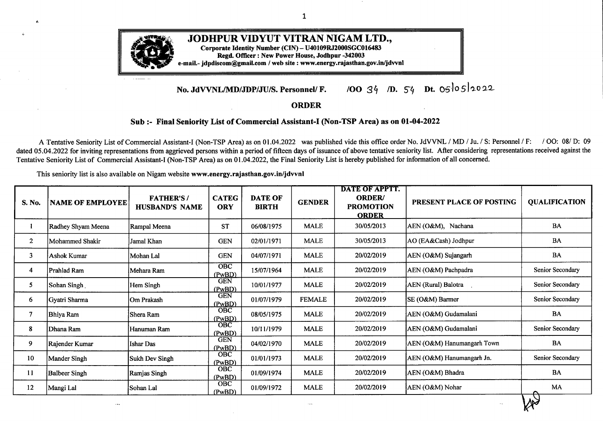| S. No. | <b>NAME OF EMPLOYEE</b>   | <b>FATHER'S/</b><br><b>HUSBAND'S NAME</b> | <b>CATEG</b><br><b>ORY</b> | <b>DATE OF</b><br><b>BIRTH</b> | <b>GENDER</b> | <b>DATE OF APPTT.</b><br><b>ORDER/</b><br><b>PROMOTION</b><br><b>ORDER</b> | PRESENT PLACE OF POSTING      | <b>QUALIFICATION</b> |
|--------|---------------------------|-------------------------------------------|----------------------------|--------------------------------|---------------|----------------------------------------------------------------------------|-------------------------------|----------------------|
| 174    | Deepak Kumar              | Shyam Sunder                              | <b>GEN</b>                 | 01/09/1992                     | <b>MALE</b>   | 20/02/2019                                                                 | AEN (O&M) Srikaranpur         | <b>B. Sc., B.Ed</b>  |
| 175    | Munendra Kumar Srivastava | Narendra Kumar Srivastava                 | <b>GEN</b>                 | 16/01/1983                     | <b>MALE</b>   | 20/02/2019                                                                 | DDP(Enq.) Jodhpur             | B. Sc., PGDLL        |
| 176    | Vishv Nath Partap Singh   | Vikram Singh Rathore                      | <b>GEN</b>                 | 02/12/1989                     | <b>MALE</b>   | 20/02/2019                                                                 | AEN (O&M) Ratangarh           | <b>BBA</b>           |
| 177    | Surendra Shringi          | Rajendra Shringi                          | <b>GEN</b>                 | 15/07/1987                     | <b>MALE</b>   | 20/02/2019                                                                 | On Deputation in RUVNL Jaipur | M.Sc.                |
| 178    | Jetha Ram                 | Chhotmal Mali                             | BC                         | 11/06/1987                     | <b>MALE</b>   | 20/02/2019                                                                 | XEN(O&M), Pokaran             | B.Sc. B.ed           |
| 179    | Sanjay Kumar Sahu         | Arjun Prasad Sahu                         | <b>GEN</b>                 | 12/07/1988                     | $\text{MALE}$ | 20/02/2019                                                                 | PO (DC) Bikaner               | MBA, PGDLL           |
| 180    | Arun Bishnoi              | Subhash Bishnoi                           | BC                         | 15/01/1990                     | <b>MALE</b>   | 20/02/2019                                                                 | SC (DC) Bikaner               | B.Tech.              |
| 181    | Simranjeet Singh          | Jasvinder Singh                           | $\mathbf{B}\mathbf{C}$     | 15/11/1988                     | <b>MALE</b>   | 20/02/2019                                                                 | AEN(O&M), Raisinghnagar       | <b>BCA</b>           |
| 182    | Hemant Singh Rajpurohit   | Kishan Singh Rajpurohit                   | <b>GEN</b>                 | 27/08/1982                     | <b>MALE</b>   | 20/02/2019                                                                 | AEN(O&M), Anoopgarh           | <b>B.</b> Pharma     |
| 183    | Parmanand Souran          | Kishna Ram Souran                         | BC                         | 02/02/1987                     | <b>MALE</b>   | 20/02/2019                                                                 | AEN (O&M) Upani               | <b>B.</b> Pharma     |
| 184    | Vikash Kumar Mishra       | Vijay Kumar Mishra                        | <b>GEN</b>                 | 20/05/1992                     | <b>MALE</b>   | 20/02/2019                                                                 | AEN (O&M) Bhadasar            | B.Sc.                |
| 185    | <b>Anshul Pareek</b>      | Deen Dayal Pareek                         | <b>GEN</b>                 | 06/06/1988                     | <b>MALE</b>   | 20/02/2019                                                                 | XEN (RTI) Jodhpur             | <b>BCA</b>           |
| 186    | Ramesh Dutt Modi          | Vishnu Dutt Modi                          | <b>GEN</b>                 | 07/08/1984                     | <b>MALE</b>   | 20/02/2019                                                                 | AEN(O&M), Upani               | MA, M. Phil          |
| 187    | Navrender Singh           | Jaskaran Singh                            | BC                         | 07/03/1988                     | <b>MALE</b>   | 20/02/2019                                                                 | AEN(O&M), Goluwala            | M.Sc.                |
| 188    | Rakesh Kumar Saini        | Jankilal Saini                            | BC                         | 04/12/1983                     | <b>MALE</b>   | 20/02/2019                                                                 | AEN (O&M) Taranagar           | BA., MBA             |
| 189    | Sandeep Singh             | Jagdish Singh                             | <b>GEN</b>                 | 04/02/1991                     | <b>MALE</b>   | 20/02/2019                                                                 | XEN (BFL), Bikaner            | MA                   |
| 190    | Vaishali Wadhwani         | Govind Lal Wadhwani                       | <b>GEN</b>                 | 18/01/1989                     | <b>FEMALE</b> | 20/02/2019                                                                 | On Deputation in RUVNL Jaipur | M.COM                |
| 191    | Abhishek Banjara          | Paras Banjara                             | <b>SBC</b>                 | 12/06/1988                     | <b>MALE</b>   | 20/02/2019                                                                 | AEN(O&M), Bhinmal             | BA, BBA, MBA         |
| 192    | Bhawana Jindal            | Mangat Rai Jindal                         | <b>GEN</b>                 | 15/10/1991                     | <b>FEMALE</b> | 20/02/2019                                                                 | XEN(O&M), Raisinghnagar       | BCA, MBA             |
| 193    | Sonal Sharma              | Gokul Singh Solanki                       | <b>GEN</b>                 | 26/05/1976                     | <b>FEMALE</b> | 20/02/2019                                                                 | ACOS, Bikaner                 | <b>B.COM</b>         |
| 194    | Priyanka Choudhary        | <b>Bhagwat Singh Choudhary</b>            | <b>GEN</b>                 | 06/11/1989                     | <b>FEMALE</b> | 20/02/2019                                                                 | AEN(CSD-A-II), Jodhpur        | <b>MBA</b>           |
| 195    | Monika Jhanwer            | Purushotam Jhanwer                        | <b>GEN</b>                 | 04/09/1991                     | <b>FEMALE</b> | 20/02/2019                                                                 | AEN (CSD-I) Sriganganagar     | <b>BCA</b>           |
| 196    | Vinita Solanki            | Madan Singh Solanki                       | BC                         | 10/04/1989                     | <b>FEMALE</b> | 20/02/2019                                                                 | AEN(CSD-C-III), Jodhpur       | <b>B.</b> Sc.        |

 $\frac{1}{2}$ 

 $\mathcal{L}$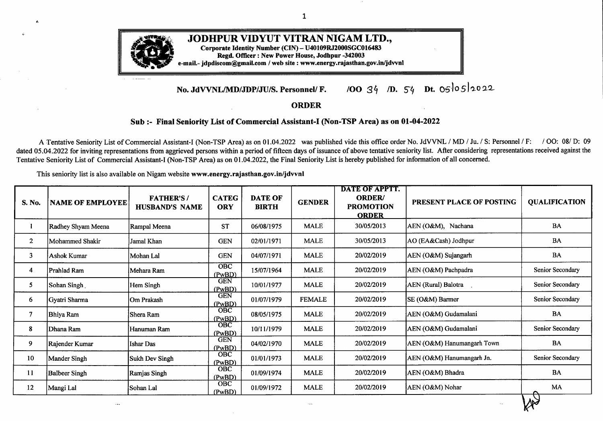$\mathcal{A}^{\mathcal{A}}$ 

....

 $-10$ 

 $\mathcal{A}$ 

| S. No. | <b>NAME OF EMPLOYEE</b> | <b>FATHER'S/</b><br><b>HUSBAND'S NAME</b> | <b>CATEG</b><br><b>ORY</b> | <b>DATE OF</b><br><b>BIRTH</b> | <b>GENDER</b> | DATE OF APPTT.<br><b>ORDER/</b><br><b>PROMOTION</b><br><b>ORDER</b> | PRESENT PLACE OF POSTING      | <b>QUALIFICATION</b> |
|--------|-------------------------|-------------------------------------------|----------------------------|--------------------------------|---------------|---------------------------------------------------------------------|-------------------------------|----------------------|
| 197    | Shweta Mathur           | Badri Lal Mathur                          | <b>GEN</b>                 | 20/03/1987                     | <b>FEMALE</b> | 20/02/2019                                                          | AEN (O&M) Mandore             | M. COM               |
| 198    | Lata Rani               | Daulat Ram                                | <b>GEN</b>                 | 19/03/1991                     | FEMALE        | 20/02/2019                                                          | XEN (O&M) Raisinghnagar       | <b>BCA</b>           |
| 199    | Nidhi Gehlot            | Dilip Kumar Gehlot                        | BC                         | 01/06/1989                     | <b>FEMALE</b> | 20/02/2019                                                          | ZCE(JDZ), Jodhpur             | <b>BCA</b>           |
| 200    | Seema Fageria           | Ram Karan Fageria                         | <b>GEN</b>                 | 02/07/1989                     | <b>FEMALE</b> | 20/02/2019                                                          | On Deputation in RUVNL Jaipur | MA, B.ed             |
| 201    | Aarti Gupta             | Jagdish Prasad Gupta                      | <b>GEN</b>                 | 28/05/1986                     | <b>FEMALE</b> | 20/02/2019                                                          | On Deputation RUIDP, Jaipur   | B.Sc., M.Sc.         |
| 202    | Choudhary Champavathy   | Manoj Kumar                               | BC                         | 02/01/1980                     | <b>FEMALE</b> | 20/02/2019                                                          | AEN (O&M), Bilara             | B.Com., LLB          |
| 203    | Neha Middha             | Ashok Kumar Middha                        | <b>GEN</b>                 | 26/09/1989                     | <b>FEMALE</b> | 20/02/2019                                                          | AEN (O&M) Padampur            | MA, MBA              |
| 204    | Parul Purohit           | Naresh Kumar Purohit                      | <b>GEN</b>                 | 25/11/1986                     | <b>FEMALE</b> | 20/02/2019                                                          | SE(DC), Bikaner               | M.Sc.                |
| 205    | <b>Avtar Singh</b>      | Jai Singh                                 | <b>SC</b>                  | 20/07/1985                     | <b>MALE</b>   | 20/02/2019                                                          | AEN(O&M), Padru               | <b>MCA</b>           |
| 206    | Vijay Chauhan           | Om Prakash Chauhan                        | <b>SC</b>                  | 29/05/1987                     | <b>MALE</b>   | 20/02/2019                                                          | AEN(CSD-B-VI), Jodhpur        | M. Sc.               |
| 207    | Neetu Singh             | <b>Ram Singh</b>                          | <b>SC</b>                  | 31/10/1983                     | <b>FEMALE</b> | 20/02/2019                                                          | AEN(CSD-D-II), Jodhpur        | <b>MBA</b>           |
| 208    | Gutti Ram Meena         | Lohde Ram Meena                           | ${\bf ST}$                 | 11/07/1979                     | <b>MALE</b>   | 20/02/2019                                                          | AEN(O&M), Luni                | <b>BA</b>            |
| 209    | Lokesh Kumar Meena      | Shriram Meena                             | <b>ST</b>                  | 22/11/1989                     | <b>MALE</b>   | 20/02/2019                                                          | On Deputation in RUVNL Jaipur | B.Sc.                |
| 210    | Kavish Solanki          | Rajkumar Solanki                          | <b>ST</b>                  | 06/12/1987                     | <b>MALE</b>   | 20/02/2019                                                          | SE(DC), Jodhpur               | <b>BCA</b>           |
| 211    | Vandana Kumari Meena    | Ram Charan Meena                          | <b>ST</b>                  | 10/10/1988                     | <b>FEMALE</b> | 20/02/2019                                                          | SE(O&M), Sirohi               | MA                   |
| 212    | Nand Kishore Meghwal    | Raju Ram                                  | <b>SC</b>                  | 04/06/1987                     | <b>MALE</b>   | 20/02/2019                                                          | AEN (O&M) Jasrasar            | B.Sc.                |
| 213    | Dilip Kumar             | Poona Ram                                 | <b>SC</b>                  | 01/07/1989                     | <b>MALE</b>   | 20/02/2019                                                          | AEN (O&M) Bagra               | <b>BA</b>            |
| 214    | Banti Devi              | <b>Balwant Singh</b>                      | <b>SC</b>                  | 01/07/1983                     | <b>FEMALE</b> | 20/02/2019                                                          | AEN (O&M) Pilibanga           | MA                   |
| 215    | Rajni Dhawal            | Vijay Kumar Dhawal                        | <b>SC</b>                  | 19/09/1990                     | <b>FEMALE</b> | 20/02/2019                                                          | AEN (CSD-I), Barmer           | BA, MA               |
| 216    | Sunil Rain              | Prabhu Dayal                              | <b>SC</b>                  | 29/09/1985                     | <b>MALE</b>   | 20/02/2019                                                          | AEN(O&M), Bajju               | M.Sc.                |
| 217    | Sandeep Meena.          | Leeladhar Meena                           | <b>ST</b>                  | 03/03/1990                     | <b>MALE</b>   | 20/02/2019                                                          | AEN(O&M), Tibbi               | <b>BA</b>            |
| 218    | Rajender Kumar Meena    | Manphool Meena                            | <b>ST</b>                  | 22/02/1983                     | <b>MALE</b>   | 20/02/2019                                                          | AEN(M&P-II), Bikaner          | <b>BA</b>            |
| 219    | Bajrang Lal Meena       | Lakshmi Narayan                           | <b>ST</b>                  | 08/04/1985                     | <b>MALE</b>   | 20/02/2019                                                          | AEN(O&M), Salasar             | <b>B.A.</b>          |

 $\mathcal{A}$ 

 $W^3$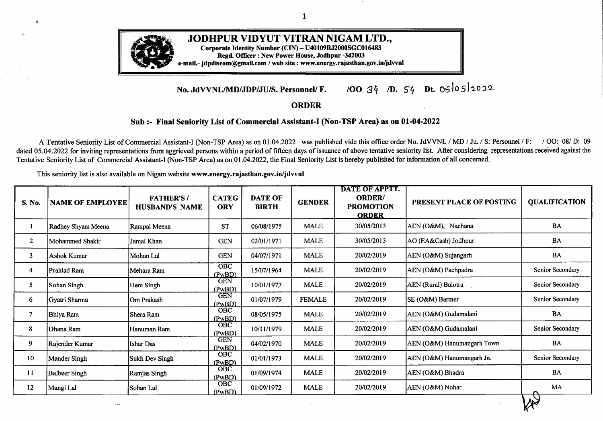| S. No. | <b>NAME OF EMPLOYEE</b> | <b>FATHER'S/</b><br><b>HUSBAND'S NAME</b> | <b>CATEG</b><br><b>ORY</b> | <b>DATE OF</b><br><b>BIRTH</b> | <b>GENDER</b> | <b>DATE OF APPTT.</b><br><b>ORDER/</b><br><b>PROMOTION</b><br><b>ORDER</b> | PRESENT PLACE OF POSTING   | <b>QUALIFICATION</b> |
|--------|-------------------------|-------------------------------------------|----------------------------|--------------------------------|---------------|----------------------------------------------------------------------------|----------------------------|----------------------|
| 220    | Dinesh Kumar            | Harji Ram                                 | <b>SC</b>                  | 16/06/1988                     | <b>MALE</b>   | 20/02/2019                                                                 | AEN (O&M) Desuri           | MCA, BCA             |
| 221    | Vikram                  | Bhanwar Lal                               | <b>SC</b>                  | 24/06/1982                     | MALE          | 23/10/2019                                                                 | AEN (O&M) Bidasar          | $BE$ (IT)            |
| 222    | Nand Kishore Meena      | Sedu Ram                                  | <b>ST</b>                  | 09/07/1984                     | <b>MALE</b>   | 20/02/2019                                                                 | SE (O&M) Sirohi            | BA                   |
| 223    | Jitendra Chouhan        | Sh. Shyam lal Chouhan                     | <b>SC</b>                  | 04/10/1989                     | <b>MALE</b>   | 20/02/2019                                                                 | AEN (Rural) Jaisalmer      | B.Sc. / B.Ed.        |
| 224    | Manju Bala              | Ravindra Kumar                            | SC                         | 01/01/1988                     | <b>FEMALE</b> | 20/02/2019                                                                 | XEN (O&M) Sangria          | BA                   |
| 225    | Kailash Ram             | Bhana Ram                                 | <b>SC</b>                  | 07/09/1984                     | <b>MALE</b>   | 20/02/2019                                                                 | AEN (O&M) Mandar           | <b>BA</b>            |
| 226    | Rajesh Kumar            | Shankar Lal                               | OBC                        | 12/03/1987                     | <b>MALE</b>   | 12/03/2020                                                                 | AEN (O&M) Srivijaynagar    | <b>BA</b>            |
| 227    | Savita Chhabra          | Nand Lal Chhabra                          | <b>GEN</b>                 | 09/06/1987                     | <b>FEMALE</b> | 12/03/2020                                                                 | AO (O&M) Sriganganagar     | M. COM, MCM          |
| 228    | Poonam Verma            | Nathu Ram Verma                           | BC                         | 03/07/1987                     | <b>FEMALE</b> | 12/03/2020                                                                 | SE (O&M) Sriganganagar     | BA                   |
| 229    | Laxmi Choudhary         | Bhawani Shankar<br>Choudhary              | BC                         | 24/07/1987                     | <b>FEMALE</b> | 12/03/2020                                                                 | AEN(Rrural), Bikaner       | M.COM                |
| 230    | Ramchandar Siyag        | Mohan Ram Siyag                           | $\overline{BC}$<br>(PwBD)  | 15/07/1988                     | <b>MALE</b>   | 12/03/2020                                                                 | AEN(O&M), Upani            |                      |
| 231    | Sandeep Shrimali        | Ramgopal Shrimali                         | <b>GEN</b><br>(PwBD)       | 16/02/1985                     | <b>MALE</b>   | 12/03/2020                                                                 | SE(DC) Bikaner             | <b>B.Sc. MBA</b>     |
| 232    | Om Nath                 | Mohan Nath                                | BC<br>(PwBD)               | 14/05/1985                     | <b>MALE</b>   | 12/03/2020                                                                 | AEN(O&M-I), Sri Dungargarh | MA                   |
| 233    | Bhagirath Choudhary     | Lala Ram                                  | OBC                        | 17/07/1979                     | <b>MALE</b>   | 12/03/2020                                                                 | AEN (CSD-B-V) Jodhpur      | BA                   |
| 234    | Devi Lal                | Gumna Ram                                 | <b>OBC</b>                 | 10/07/1990                     | <b>MALE</b>   | 12/03/2020                                                                 | AEN (O&M) Chandan          | <b>BA</b>            |
| 235    | Sumit Kumar             | Daresh Kumar                              | <b>GEN</b>                 | 02/06/1982                     | <b>MALE</b>   | 12/03/2020                                                                 | XEN (DDUGJY) Sriganganagar | <b>BA</b>            |
| 236    | Vijendra Singh          | <b>Bahadur Singh</b>                      | <b>GEN</b><br>(PwBD)       | 29/06/1980                     | <b>MALE</b>   | 12/03/2020                                                                 | AEN (O&M) Gogamedi         | <b>BA</b>            |
| 237    | Raghuveer Sharma        | <b>Bharat Kumar</b>                       | <b>GEN</b>                 | 20/06/1986                     | <b>MALE</b>   | 12/03/2020                                                                 | AEN (O&M) Pilibanga        | BA, MA, B.Ed.        |
| 238    | Munni Devi              | Nand Kishore                              | OBC                        | 05/07/1988                     | <b>FEMALE</b> | 12/03/2020                                                                 | XEN (O&M) Jaitaran         | Sr. Sec.             |
| 239    | Uma Shanker Vyas        | Kishan Kumar                              | <b>GEN</b>                 | 05/08/1982                     | <b>MALE</b>   | 12/03/2020                                                                 | PO (DC) Bikaner            | M.Com                |
| 240    | Anil Vyas               | Kedar Prasad Vyas                         | GEN                        | 10/05/1988                     | <b>MALE</b>   | 20/04/2020                                                                 | AEN (O&M) Khajuwala        | BA., MBA             |
| 241    | Harshvardhan            | Gajendra Singh                            | <b>GEN</b>                 | 01/07/1993                     | <b>MALE</b>   | 12/03/2020                                                                 | XEN (O&M) Falna            | B. Com.              |
| 242    | Jitendra Kumar Gurjar   | Mohar Singh                               | <b>SBC</b>                 | 26/01/1990                     | MALE          | 12/03/2020                                                                 | SE (BFL) Jaisalmer         | <b>BA</b>            |
|        |                         |                                           |                            |                                |               |                                                                            |                            | <b>RA</b>            |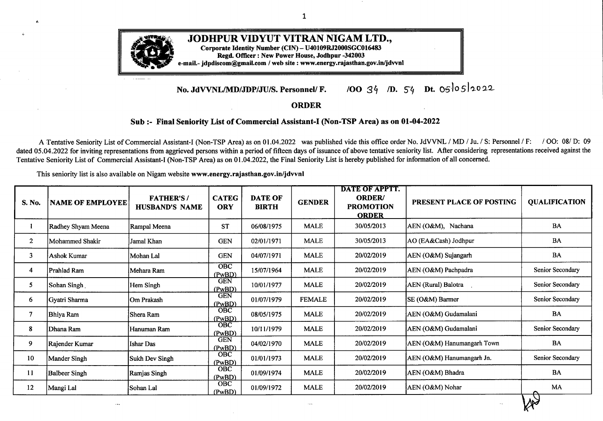| $\bullet$<br>S. No. | <b>NAME OF EMPLOYEE</b>       | <b>FATHER'S/</b><br><b>HUSBAND'S NAME</b> | <b>CATEG</b><br><b>ORY</b> | <b>DATE OF</b><br><b>BIRTH</b> | <b>GENDER</b> | <b>DATE OF APPTT.</b><br><b>ORDER/</b><br><b>PROMOTION</b><br><b>ORDER</b> | PRESENT PLACE OF POSTING      | <b>QUALIFICATION</b>       |
|---------------------|-------------------------------|-------------------------------------------|----------------------------|--------------------------------|---------------|----------------------------------------------------------------------------|-------------------------------|----------------------------|
| 243                 | Narendra Kumar Ramdev         | Tulsi Das Ramdev                          | <b>GEN</b>                 | 25/12/1983                     | <b>MALE</b>   | 12/03/2020                                                                 | SE (DC) Jodhpur               | <b>BA</b>                  |
| 244                 | Anil Purohit                  | Gopi Kishan Purohit                       | <b>GEN</b>                 | 17/08/1978                     | <b>MALE</b>   | 12/03/2020                                                                 | AEN (CSD-D-II) Jodhupr        | <b>MBA</b>                 |
| 245                 | Sunil Kumar                   | Shyam Singh                               | <b>SC</b>                  | 03/10/1982                     | <b>MALE</b>   | 12/03/2020                                                                 | AEN (C-II) Sriganganagar      | MA, B.Ed, MBA<br>(Finance) |
| 246                 | Pankaj Kumar Lekhala          | <b>Bhanwar</b> Lal                        | <b>SC</b>                  | 01/06/1983                     | <b>MALE</b>   | 26.07.2021                                                                 | ACOS, Bikaner                 | B.Sc.                      |
| 247                 | Sunder Lal Meghwal            | Himta Ram                                 | <b>SC</b>                  | 03/03/1983                     | <b>MALE</b>   | 12/03/2020                                                                 | AEN (O&M) Nokha               | <b>BA</b>                  |
| 248                 | Hari Om                       | Ramdas                                    | <b>SC</b>                  | 15/05/1988                     | <b>MALE</b>   | 12/03/2020                                                                 | XEN (DDUGJY) Sriganganagar    | BA                         |
| 249                 | Prakash Kumar Meena           | Bada Ram                                  | ST<br>(PwBD)               | 12/06/1987                     | <b>MALE</b>   | 12/03/2020                                                                 | AEN (O&M) Pindwara            | <b>BA</b>                  |
| 250                 | Praveen Chawla                | Ram Kishan                                | <b>SC</b>                  | 30/09/1989                     | <b>MALE</b>   | 12/03/2020                                                                 | AEN (Rural) Hanumangarh Jn.   | <b>B.Pharma</b>            |
| 251                 | Madhav Lal Meghwal            | Chogga Lal                                | <b>SC</b>                  | 15/06/1989                     | <b>MALE</b>   | 12/03/2020                                                                 | SE (O&M) Sirohi               | MA                         |
| 252                 | Phulanta                      | Devendra Singh Meena                      | <b>ST</b>                  | 15/03/1989                     | <b>FEMALE</b> | 12/03/2020                                                                 | AEN (HTM-III) Jodhpur         | BA                         |
| 253                 | Kapil Mathur                  | Dwarka Das Mathur                         | <b>GEN</b>                 | 21/09/1984                     | <b>MALE</b>   | 25/06/2020                                                                 | SE (CC) Jodhpur               | MBA (Finance)              |
| 254                 | Rakesh Bissa                  | Hemant Bissa                              | <b>GEN</b>                 | 31/12/1980                     | <b>MALE</b>   | 25/06/2020                                                                 | AO (DC) Bikaner               | B.Sc.                      |
| 255                 | Rajendra Singh                | Satya Narain                              | <b>OBC</b>                 | 29/11/1989                     | <b>MALE</b>   | 25/06/2020                                                                 | AEN (O&M) Kolayat             | <b>BA</b>                  |
| 256                 | Vanita                        | Arvind Chouhan                            | <b>OBC</b>                 | 29/06/1982                     | <b>FEMALE</b> | 25/06/2020                                                                 | SE (Vig.) Jodhpur             | M.A., DCLL                 |
| 257                 | <b>Inder Singh Rajpurohit</b> | <b>Bhanwar Singh</b>                      | <b>GEN</b>                 | 10/07/1986                     | <b>MALE</b>   | 25/06/2020                                                                 | AEN (O&M) Phalodi             | MA                         |
| 258                 | Kusum Lata                    | Mahesh Kumar                              | <b>GEN</b>                 | 05/10/1989                     | <b>FEMALE</b> | 25/06/2020                                                                 | AO (O&M) Churu                | BA.                        |
| 259                 | Sunita Saini                  | Kanhiyalal                                | OBC                        | 01/01/1989                     | <b>FEMALE</b> | 25/06/2020                                                                 | AEN (O&M) Sadulpur            | BA, B.Ed.                  |
| 260                 | Harshit Mathur                | Dinesh Mathur                             | <b>GEN</b>                 | 01/04/1990                     | <b>MALE</b>   | 25/06/2020                                                                 | AEN (CSD-D-IV) Jodhpur        | <b>BCA</b>                 |
| 261                 | Navneet Singh                 | Anop Singh                                | <b>GEN</b>                 | 31/10/1988                     | <b>MALE</b>   | 25/06/2020                                                                 | SE (O&M) Hanumangarh Junction | <b>BA</b>                  |
| 262                 | Radheshyam Bhati              | Surajbhan Bhati                           | <b>GEN</b>                 | 04/09/1984                     | <b>MALE</b>   | 25/06/2020                                                                 | AEN (O&M) Bidasar             | MA, M. Phil                |
| 263                 | Ankush Sidana                 | Ram Lal Sidana                            | <b>GEN</b>                 | 14/11/1982                     | <b>MALE</b>   | 25/06/2020                                                                 | AEN(O&M), Suratgarh.          | B.Sc. M.Sc                 |
| 264                 | Sohit Joshi                   | Badri Dass Joshi                          | <b>GEN</b>                 | 09/01/1985                     | <b>MALE</b>   | 25/06/2020                                                                 | SE(M&P-ZPC), Bikaner          | M.Sc                       |
| 265                 | Pawan Kumar                   | <b>Balram</b>                             | BC                         | 19/11/1986                     | <b>MALE</b>   | 25/06/2020                                                                 | AEN(O&M), Anoopgarh           | BA, M.COM                  |
|                     |                               |                                           |                            |                                |               |                                                                            |                               | Xv>                        |

• · g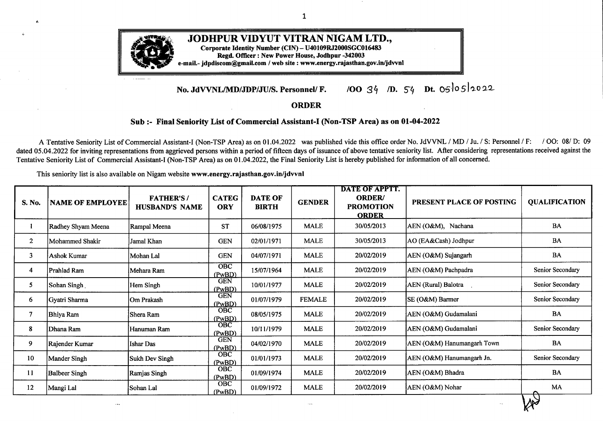| S. No. | <b>NAME OF EMPLOYEE</b>                          | <b>FATHER'S/</b><br><b>HUSBAND'S NAME</b> | <b>CATEG</b><br><b>ORY</b> | <b>DATE OF</b><br><b>BIRTH</b> | <b>GENDER</b> | <b>DATE OF APPTT.</b><br><b>ORDER/</b><br><b>PROMOTION</b><br><b>ORDER</b> | PRESENT PLACE OF POSTING  | <b>QUALIFICATION</b>                     |
|--------|--------------------------------------------------|-------------------------------------------|----------------------------|--------------------------------|---------------|----------------------------------------------------------------------------|---------------------------|------------------------------------------|
| 266    | Gaurav Purohit                                   | Shyam Sunder Purohit                      | <b>GEN</b>                 | 29/11/1990                     | <b>MALE</b>   | 25/06/2020                                                                 | AEN (CSD-C-I) Jodhpur     | B. Tech.                                 |
| 267    | Girish Yadav                                     | Shiv Kumar Yadav                          | BC                         | 26/11/1984                     | <b>MALE</b>   | 25/06/2020                                                                 | AO (O&M) Hanumangarh      | BA, M.Sc. MCA                            |
| 268    | Manjeet Kumar                                    | Ramjee Lal                                | BC<br>(PwBD)               | 17/06/1980                     | <b>MALE</b>   | 25/06/2020                                                                 | AEN(RURAL), Sriganganagar | <b>BA</b>                                |
| 269    | Mohan Lal Parihar                                | Bakta Ram Parihar                         | BC                         | 10/01/1970                     | <b>MALE</b>   | 25/06/2020                                                                 | AO(O&M), Mathaniya        | Graduate                                 |
| 270    | Surender Singh                                   | Shri Samunder Singh                       | <b>GEN</b>                 | 15/08/1964                     | <b>MALE</b>   | 25/06/2020                                                                 | AEN (CSD-C-IV) Jodhpur    | BA                                       |
| 271    | Chandni Joshi                                    | Ramraj Joshi                              | <b>GEN</b>                 | 20/11/1982                     | <b>FEMALE</b> | 25/06/2020                                                                 | XEN (MIS) Jodhpur         | MA                                       |
| 272    | Kanta Kumari                                     | Hari Singh                                | <b>OBC</b>                 | 11/11/1994                     | <b>FEMALE</b> | 25/06/2020                                                                 | AEN (O&M) Taranagar       | <b>BA</b>                                |
| 273    | Tarun Kumar Dave                                 | Kishori Lal Dave                          | <b>GEN</b>                 | 31/10/1990                     | <b>MALE</b>   | 25/06/2020                                                                 | ZCE (Bmr Zone) Barmer     | BA                                       |
| 274    | Poonaram                                         | Budharam                                  | <b>BC</b>                  | 01/06/1986                     | <b>MALE</b>   | 25/06/2020                                                                 | AEN (O&M) Bap             | <b>BA</b>                                |
| 275    | Jitendra Kumar Pania                             | Govind Lal Pania                          | <b>GEN</b>                 | 08/09/1986                     | <b>MALE</b>   | 25/06/2020                                                                 | Sr. Ao (BZ) Bikaner       | B.Com, M.Com, MBA                        |
| 276    | <b>Basant Kumar</b>                              | Madan Gopal                               | <b>GEN</b>                 | 07/02/1985                     | <b>MALE</b>   | 25/06/2020                                                                 | <b>ACOS, Bikaner</b>      | <b>B.Com</b>                             |
| 277    | Praveen Singh Rathore                            | Satyanarayan Singh Rathore                | <b>GEN</b>                 | 03/03/1990                     | <b>MALE</b>   | 25/06/2020                                                                 | AEN (O&M) Matora          | <b>MBA</b>                               |
| 278    | Yashodhara Sengar                                | Ashok Singh Sengar                        | <b>GEN</b>                 | 08/01/1985                     | <b>FEMALE</b> | 25/06/2020                                                                 | ZCE (BZ) Bikaner          | MA, M. Phil (RTI)                        |
| 279    | Kishan Kumar Harsh                               | Shyam Sundar                              | <b>GEN</b>                 | 15/06/1985                     | <b>MALE</b>   | 25/06/2020                                                                 | SE (M&P-ZPC) Bikaner      | MA                                       |
| 280    | Mubarak Ali                                      | Sh. Mohd. Amin                            | OBC                        | 05/03/1987                     | <b>MALE</b>   | 25/06/2020                                                                 | AEN (O&M) Loonkaransar    | <b>BCA, M.Sc (C.S.)</b>                  |
| 281    | Harshvardhan Singh Rathore Bhagwat Singh Rathore |                                           | <b>GEN</b>                 | 04/06/1992                     | <b>MALE</b>   | 25/06/2020                                                                 | AEN(O&M) Borunda          | M.Com.                                   |
| 282    | Ghanshyam Maru                                   | <b>Bhanwar Lal</b>                        | OBC                        | 10/12/1986                     | <b>MALE</b>   | 25/06/2020                                                                 | AEN (O&M) Deshnok         | <b>BA</b>                                |
| 283    | Satish Kumar                                     | Dharamveer                                | <b>OBC</b>                 | 30/01/1990                     | <b>MALE</b>   | 25/06/2020                                                                 | XEN (BFL) Bikaner         | M.Sc (Biotechnology),<br>MA(Rajasthani), |
| 284    | Sandeep Saraswat                                 | Shiv Ratan                                | <b>GEN</b>                 | 30/03/1990                     | <b>MALE</b>   | 25/06/2020                                                                 | SE (M&P-ZPC) Bikaner      | B.Com,                                   |
| 285    | Shiv Ratan Verma                                 | Gyan Chand Verma                          | OBC                        | 06/12/1991                     | <b>MALE</b>   | 25/06/2020                                                                 | AEN (M&P-I) Sriganganagar | M.A., B.ED,                              |
| 286    | Nitin Kumar                                      | Vinod Kumar                               | <b>GEN</b>                 | 06/10/1984                     | <b>MALE</b>   | 25/06/2020                                                                 | AEN (Rural) Nokha         | M.Com                                    |
| 287    | Somveer Sharma                                   | Sube Singh                                | <b>GEN</b>                 | 16/06/1987                     | <b>MALE</b>   | 25/06/2020                                                                 | AEN (O&M) Sadulpur        | MA B.Ed                                  |
| 288    | Vishnu Gopal Khatri                              | Ramesh Kumar Khatri                       | <b>GEN</b>                 | 16/03/1989                     | <b>MALE</b>   | 25/06/2020                                                                 | XEN (M&P) Bikaner         | B.com, PCDCA, MSCCS                      |
|        |                                                  |                                           |                            |                                |               |                                                                            |                           | $\lambda\lambda$                         |



.

 $\cdot$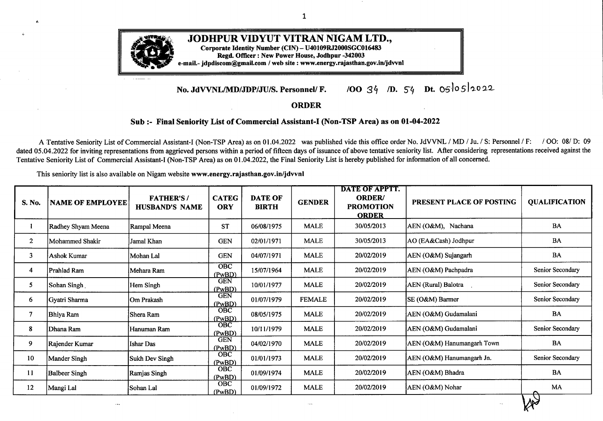| S. No. | <b>NAME OF EMPLOYEE</b> | <b>FATHER'S/</b><br><b>HUSBAND'S NAME</b> | <b>CATEG</b><br><b>ORY</b> | <b>DATE OF</b><br><b>BIRTH</b> | <b>GENDER</b> | <b>DATE OF APPTT.</b><br><b>ORDER/</b><br><b>PROMOTION</b><br><b>ORDER</b> | PRESENT PLACE OF POSTING     | <b>QUALIFICATION</b>                  |
|--------|-------------------------|-------------------------------------------|----------------------------|--------------------------------|---------------|----------------------------------------------------------------------------|------------------------------|---------------------------------------|
| 289    | Rekha Upadhayai         | Balmiki Prasad Sinha                      | <b>GEN</b>                 | 10/05/1976                     | <b>FEMALE</b> | 25/06/2020                                                                 | Sr. AO (BZ) Bikaner          | BA, PGDCA, Diploma in<br>Electrical   |
| 290    | Chandra Kumar           | Mool Chand Purohit                        | <b>GEN</b>                 | 04/07/1985                     | <b>MALE</b>   | 07/07/2020                                                                 | SE(DC) Bikaner               | MBA(Fin.), M.Com,                     |
| 291    | Sabnam Arora            | Ansul Arora                               | <b>GEN</b>                 | 20/10/1985                     | <b>FEMALE</b> | 21/08/2020                                                                 | A.En. (O&M), Anoopgarh       | MCA, B.A., O' Level                   |
| 292    | Shakila                 | Pala Ram                                  | SC                         | 10/07/1991                     | <b>FEMALE</b> | 25/06/2020                                                                 | AEN (Rural) Suratgarh        | Senior Secondary                      |
| 293    | Kiran Sonel             | Vijay Bochawat                            | <b>SC</b>                  | 25/01/1995                     | <b>FEMALE</b> | 25/06/2020                                                                 | AEN (O&M) Pipar City         | Senior Secondary                      |
| 294    | Om Prakash              | Kanhiyalal                                | SC                         | 05/07/1984                     | <b>MALE</b>   | 25/06/2020                                                                 | AEN (O&M) Bilara             | MA                                    |
| 295    | Vimla Meena             | Om Prakash Meena                          | <b>ST</b>                  | 13/08/1990                     | <b>FEMALE</b> | 25/06/2020                                                                 | XEN (O&M) Mathania           | BA                                    |
| 296    | Vijay Shankar Nayak     | Moda Ram                                  | <b>SC</b>                  | 07/11/1989                     | <b>MALE</b>   | 25/06/2020                                                                 | AEN (O&M) Garsana            | BA                                    |
| 297    | Virendra Singh          | Arjun Singh                               | <b>GEN</b>                 | 16/05/1981                     | <b>MALE</b>   | 26.07.2021                                                                 | AEN (O&M) Falna              | <b>B.COM, PGDCA</b>                   |
| 298    | Krishan Kumar           | Jawahar Lal                               | <b>GEN</b>                 | 25/12/1982                     | <b>MALE</b>   | 26.07.2021                                                                 | AEN (Rural) Sangaria         | MA, PGDCA, B.Ed                       |
| 299    | Kamal Singh             | Bhanwar Singh                             | <b>GEN</b>                 | 14/04/1985                     | <b>MALE</b>   | 26.07.2021                                                                 | AEN (CSD-I) Pali             | BA, PGDCA                             |
| 300    | Abhishek Purohit        | Damodar Pdrasad                           | <b>GEN</b>                 | 11/09/1985                     | <b>MALE</b>   | 26.07.2021                                                                 | PO (DC) Bikaner              | B.Com, LLB, DLL                       |
| 301    | Vikram Sain             | Narayan Lal                               | <b>OBC</b>                 | 25/05/1990                     | <b>MALE</b>   | 26.07.2021                                                                 | AEN, (O&M-II), Sridungargarh | B.A.                                  |
| 302    | Mukesh Puri             | Kalu Puri Goswami                         | <b>OBC</b>                 | 02/01/1976                     | <b>MALE</b>   | 26.07.2021                                                                 | AEN (O&M) Sojat City         | B.A., B.Ed,                           |
| 303    | Puja Sanwal             | Mohan Kumar Sanwal                        | <b>GEN</b>                 | 05/01/1987                     | <b>FEMALE</b> | 26.07.2021                                                                 | ZCE (JZ) Jodhpur             | B. Sc., MBA, PGDCMF,<br>PGDLL, PH. D. |
| 304    | Komal Prajapat          | Shiv Bhagwan Prajapt                      | <b>GEN</b>                 | 28/09/1991                     | <b>FEMALE</b> | 26.07.2021                                                                 | ZCE (BZ) Bikaner             | M.Com.                                |
| 305    | Vaishali Garg           | Ashok Garg                                | <b>GEN</b>                 | 11/03/1992                     | <b>FEMALE</b> | 26.07.2021                                                                 | AEN (O&M) Sadulsahar         | <b>BCA</b>                            |
| 306    | Rashmi Sharma           | Jainendra Sharma                          | <b>GEN</b>                 | 19/06/1986                     | <b>FEMALE</b> | 26.07.2021                                                                 | AO (DC)Bikaner               | MA (Geography), B.Ed                  |
| 307    | Guru Dutt Panwar        | <b>Keshav Dev</b>                         | <b>OBC</b>                 | 19/10/1980                     | <b>MALE</b>   | 26.07.2021                                                                 | AEN (CSD-C-I) Jodhpur        | M.Com.                                |
| 308    | Rama Ram                | Gyana Ram                                 | <b>OBC</b>                 | 01/05/1987                     | <b>MALE</b>   | 26.07.2021                                                                 | AEN (O&M) Sindhari           | <b>BA</b>                             |
| 309    | Yuvraj Singh            | <b>Gambhir Singh</b>                      | <b>OBC</b>                 | 02/02/1989                     | <b>MALE</b>   | 26.07.2021                                                                 | ACE (M&P-IT) Jodhpur         | BCA, MCA, MBA                         |
| 310    | Yogendra Khatri         | Om Prakash                                | <b>GEN</b>                 | 24/05/1985                     | <b>MALE</b>   | 26.07.2021                                                                 | <b>AEN</b> (Civil) Bikaner   | B.Com.                                |
| 311    | Debu Choudhary          | Uka Ram                                   | OBC                        | 07/05/1992                     | <b>MALE</b>   | 26.07.2021                                                                 | AEN (O&M) Reodar             | Senior Secondary                      |
|        |                         |                                           |                            |                                |               |                                                                            |                              |                                       |

*M°*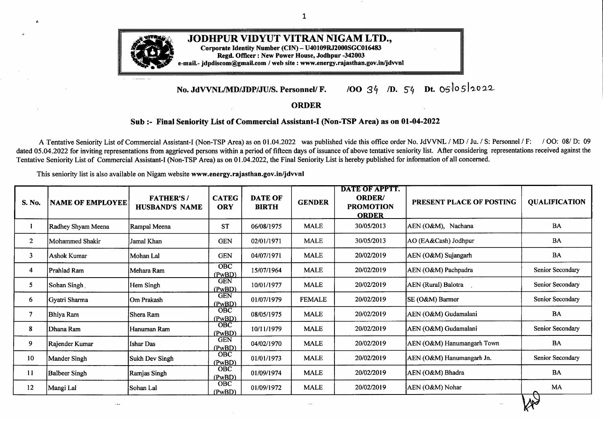|        |                         |                                           |                            |                                |               | DATE OF APPTT.                                    |                             |                      |
|--------|-------------------------|-------------------------------------------|----------------------------|--------------------------------|---------------|---------------------------------------------------|-----------------------------|----------------------|
| S. No. | <b>NAME OF EMPLOYEE</b> | <b>FATHER'S/</b><br><b>HUSBAND'S NAME</b> | <b>CATEG</b><br><b>ORY</b> | <b>DATE OF</b><br><b>BIRTH</b> | <b>GENDER</b> | <b>ORDER/</b><br><b>PROMOTION</b><br><b>ORDER</b> | PRESENT PLACE OF POSTING    | <b>QUALIFICATION</b> |
| 312    | Durga Singh             | <b>Bhanwar Singh</b>                      | <b>GEN</b>                 | 08/07/1988                     | <b>MALE</b>   | 26.07.2021                                        | ACOS, Hanumangarh           | <b>BA</b>            |
| 313    | Sharvan Kumar           | Magha Ram                                 | OBC                        | 28/01/1981                     | <b>MALE</b>   | 26.07.2021                                        | AEN (Rural) Bikaner         | <b>B.Com</b>         |
| 314    | Bharat Sharma           | Babu Lal Sharma                           | OBC                        | 08/07/1989                     | <b>MALE</b>   | 26.07.2021                                        | Director (Tech.) Jodhpur    | MA                   |
| 315    | Deepak Singh Gurjar     | Laxman Singh                              | <b>SBC</b>                 | 08/03/1989                     | <b>MALE</b>   | 26.07.2021                                        | PO (O&M) Sirohi             | <b>BA</b>            |
| 316    | Guddi Devi              | <b>Sumer Singh</b>                        | OBC                        | 01/07/1992                     | <b>FEMALE</b> | 26.07.2021                                        | PO (DC) Jodhpur             | BA                   |
| 317    | Dinesh Kumar            | Harzi Ram                                 | <b>GEN</b>                 | 07/01/1982                     | <b>MALE</b>   | 26.07.2021                                        | AEN (O&M) Bilara            | <b>BA</b>            |
| 318    | Seema                   | Deen Dayal                                | OBC                        | 08/04/1987                     | <b>FEMALE</b> | 26.07.2021                                        | AEN (City) Phalodi          | Senior Secondary     |
| 319    | Ram Narayan             | Govind Singh                              | OBC                        | 10/11/1986                     | <b>MALE</b>   | 26.07.2021                                        | AEN (O&M) Hanumangarh Town  | MA, B.Ed             |
| 320    | Mamta                   | Sita Ram                                  | <b>ST</b>                  | 08/05/1991                     | <b>FEMALE</b> | 26.07.2021                                        | AEN (Rural) Hanumangarh Jn. | Senior Secondary     |
| 321    | Harish Meena            | Gova Ram                                  | <b>ST</b>                  | 18/07/1993                     | <b>MALE</b>   | 26.07.2021                                        | AEN (O&M) Kailashnagar      | BA                   |
| 322    | Usha Kumari             | Praveen Kumar                             | <b>SC</b>                  | 13/03/1985                     | <b>FEMALE</b> | 26.07.2021                                        | PO (O&M) Sirohi             | BA                   |
| 323    | Pushplata               | Yashwant Singh                            | <b>SC</b>                  | 10/08/1981                     | <b>FEMALE</b> | 26.07.2021                                        | AEN (O&M) Sadri             | BA, LLM              |
| 324    | Pabu Ram                | Jhala Ram                                 | <b>OBC</b>                 | 05/07/1987                     | <b>MALE</b>   | 26.07.2021                                        | AEN (O&M) Ramseen           | <b>BA</b>            |
| 325    | Vijay Prasad Sharma     | Radhy Shyam Sharma                        | <b>GEN</b>                 | 22/02/1980                     | <b>MALE</b>   | 26.07.2021                                        | SE (DC) Jodhpur             | BA, LLB              |
| 326    | Prakash Vishnoi         | Virda Ram Vishnoi                         | OBC                        | 04/03/1982                     | <b>MALE</b>   | 26.07.2021                                        | AEN (O&M) Sanchore          | MA, B.Ed             |
| 327    | Ravindra Singh          | Rajendra Singh                            | <b>GEN</b>                 | 08/01/1983                     | <b>MALE</b>   | 26.07.2021                                        | SE (Civil) Jodhpur          | <b>BA</b>            |
| 328    | Veera Kanwar            | Ranveer Singh                             | <b>GEN</b>                 | 01/08/1989                     | <b>FEMALE</b> | 24.08.2021                                        | AEN (O&M) Balesar           | $\mathbf{BA}$        |
| 329    | Sushila                 | Deepak Gehlot                             | OBC                        | 10/07/1983                     | <b>FEMALE</b> | 24.08.2021                                        | AEN (O&M) Anoopgarh         | BA. B.Ed             |
| 330    | Ajaj Ahmed              | Khuda Bux                                 | <b>OBC</b>                 | 02/05/1983                     | <b>MALE</b>   | 24.08.2021                                        | AEN (Rural) Bikaner         | BA                   |
| 331    | Beena                   | Gajendra Singh                            | <b>GEN</b>                 | 26/07/1970                     | <b>FEMALE</b> | 28.09.2021                                        | AEN (CSD-I) Sriganganagar   | Senior Secondary     |
|        |                         |                                           |                            |                                |               |                                                   |                             |                      |

۰. <u>та та т</u>